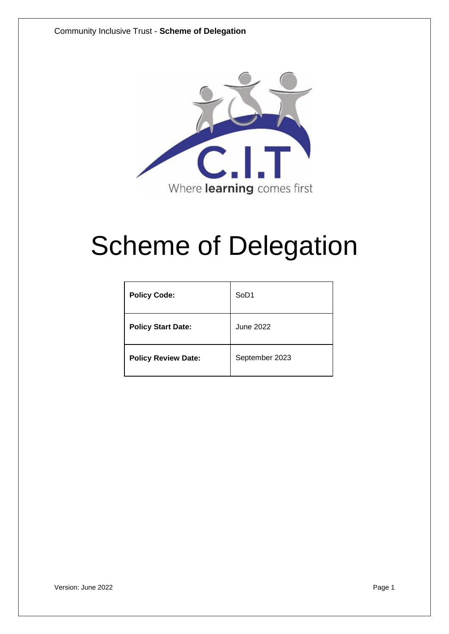

# Scheme of Delegation

| <b>Policy Code:</b>        | SoD <sub>1</sub> |
|----------------------------|------------------|
| <b>Policy Start Date:</b>  | June 2022        |
| <b>Policy Review Date:</b> | September 2023   |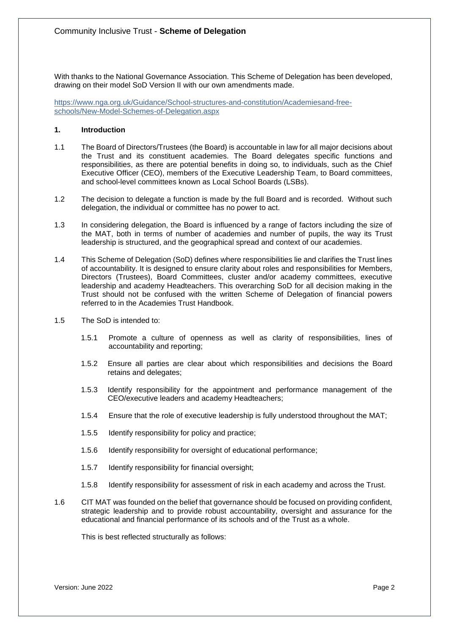With thanks to the National Governance Association. This Scheme of Delegation has been developed, drawing on their model SoD Version II with our own amendments made.

[https://www.nga.org.uk/Guidance/School-structures-and-constitution/Academiesand-free](https://www.nga.org.uk/Guidance/School-structures-and-constitution/Academies-and-free-schools/New-Model-Schemes-of-Delegation.aspx)[schools/New-Model-Schemes-of-Delegation.aspx](https://www.nga.org.uk/Guidance/School-structures-and-constitution/Academies-and-free-schools/New-Model-Schemes-of-Delegation.aspx)

# **1. Introduction**

- 1.1 The Board of Directors/Trustees (the Board) is accountable in law for all major decisions about the Trust and its constituent academies. The Board delegates specific functions and responsibilities, as there are potential benefits in doing so, to individuals, such as the Chief Executive Officer (CEO), members of the Executive Leadership Team, to Board committees, and school-level committees known as Local School Boards (LSBs).
- 1.2 The decision to delegate a function is made by the full Board and is recorded. Without such delegation, the individual or committee has no power to act.
- 1.3 In considering delegation, the Board is influenced by a range of factors including the size of the MAT, both in terms of number of academies and number of pupils, the way its Trust leadership is structured, and the geographical spread and context of our academies.
- 1.4 This Scheme of Delegation (SoD) defines where responsibilities lie and clarifies the Trust lines of accountability. It is designed to ensure clarity about roles and responsibilities for Members, Directors (Trustees), Board Committees, cluster and/or academy committees, executive leadership and academy Headteachers. This overarching SoD for all decision making in the Trust should not be confused with the written Scheme of Delegation of financial powers referred to in the Academies Trust Handbook.
- 1.5 The SoD is intended to:
	- 1.5.1 Promote a culture of openness as well as clarity of responsibilities, lines of accountability and reporting;
	- 1.5.2 Ensure all parties are clear about which responsibilities and decisions the Board retains and delegates;
	- 1.5.3 Identify responsibility for the appointment and performance management of the CEO/executive leaders and academy Headteachers;
	- 1.5.4 Ensure that the role of executive leadership is fully understood throughout the MAT;
	- 1.5.5 Identify responsibility for policy and practice;
	- 1.5.6 Identify responsibility for oversight of educational performance;
	- 1.5.7 Identify responsibility for financial oversight;
	- 1.5.8 Identify responsibility for assessment of risk in each academy and across the Trust.
- 1.6 CIT MAT was founded on the belief that governance should be focused on providing confident, strategic leadership and to provide robust accountability, oversight and assurance for the educational and financial performance of its schools and of the Trust as a whole.

This is best reflected structurally as follows: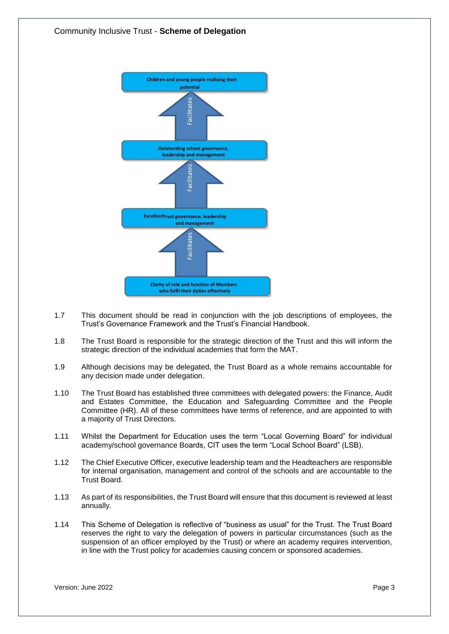

- 1.7 This document should be read in conjunction with the job descriptions of employees, the Trust's Governance Framework and the Trust's Financial Handbook.
- 1.8 The Trust Board is responsible for the strategic direction of the Trust and this will inform the strategic direction of the individual academies that form the MAT.
- 1.9 Although decisions may be delegated, the Trust Board as a whole remains accountable for any decision made under delegation.
- 1.10 The Trust Board has established three committees with delegated powers: the Finance, Audit and Estates Committee, the Education and Safeguarding Committee and the People Committee (HR). All of these committees have terms of reference, and are appointed to with a majority of Trust Directors.
- 1.11 Whilst the Department for Education uses the term "Local Governing Board" for individual academy/school governance Boards, CIT uses the term "Local School Board" (LSB).
- 1.12 The Chief Executive Officer, executive leadership team and the Headteachers are responsible for internal organisation, management and control of the schools and are accountable to the Trust Board.
- 1.13 As part of its responsibilities, the Trust Board will ensure that this document is reviewed at least annually.
- 1.14 This Scheme of Delegation is reflective of "business as usual" for the Trust. The Trust Board reserves the right to vary the delegation of powers in particular circumstances (such as the suspension of an officer employed by the Trust) or where an academy requires intervention, in line with the Trust policy for academies causing concern or sponsored academies.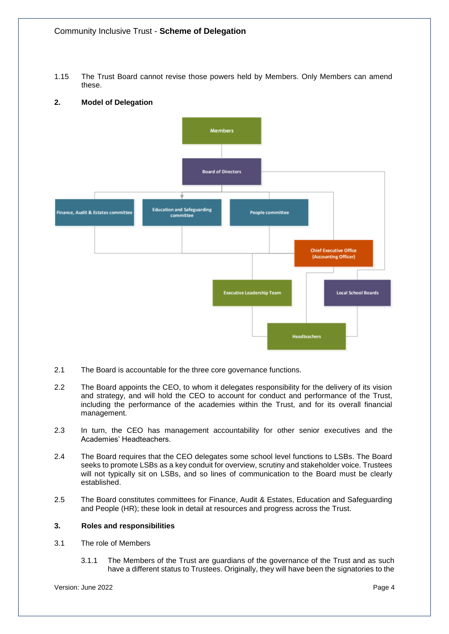1.15 The Trust Board cannot revise those powers held by Members. Only Members can amend these.

# **2. Model of Delegation**



- 2.1 The Board is accountable for the three core governance functions.
- 2.2 The Board appoints the CEO, to whom it delegates responsibility for the delivery of its vision and strategy, and will hold the CEO to account for conduct and performance of the Trust, including the performance of the academies within the Trust, and for its overall financial management.
- 2.3 In turn, the CEO has management accountability for other senior executives and the Academies' Headteachers.
- 2.4 The Board requires that the CEO delegates some school level functions to LSBs. The Board seeks to promote LSBs as a key conduit for overview, scrutiny and stakeholder voice. Trustees will not typically sit on LSBs, and so lines of communication to the Board must be clearly established.
- 2.5 The Board constitutes committees for Finance, Audit & Estates, Education and Safeguarding and People (HR); these look in detail at resources and progress across the Trust.

## **3. Roles and responsibilities**

- 3.1 The role of Members
	- 3.1.1 The Members of the Trust are guardians of the governance of the Trust and as such have a different status to Trustees. Originally, they will have been the signatories to the

Version: June 2022 **Page 4**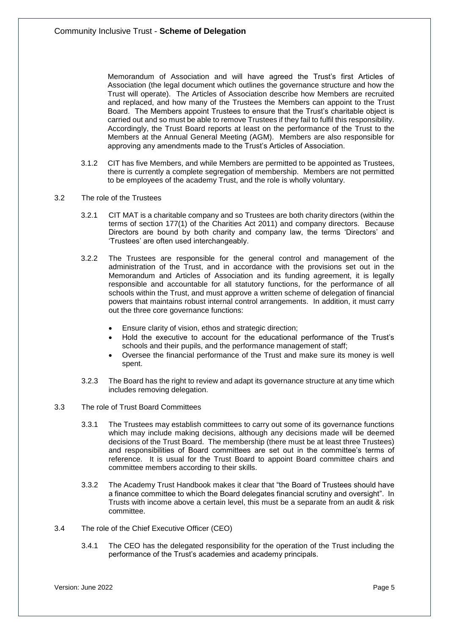Memorandum of Association and will have agreed the Trust's first Articles of Association (the legal document which outlines the governance structure and how the Trust will operate). The Articles of Association describe how Members are recruited and replaced, and how many of the Trustees the Members can appoint to the Trust Board. The Members appoint Trustees to ensure that the Trust's charitable object is carried out and so must be able to remove Trustees if they fail to fulfil this responsibility. Accordingly, the Trust Board reports at least on the performance of the Trust to the Members at the Annual General Meeting (AGM). Members are also responsible for approving any amendments made to the Trust's Articles of Association.

- 3.1.2 CIT has five Members, and while Members are permitted to be appointed as Trustees, there is currently a complete segregation of membership. Members are not permitted to be employees of the academy Trust, and the role is wholly voluntary.
- 3.2 The role of the Trustees
	- 3.2.1 CIT MAT is a charitable company and so Trustees are both charity directors (within the terms of section 177(1) of the Charities Act 2011) and company directors. Because Directors are bound by both charity and company law, the terms 'Directors' and 'Trustees' are often used interchangeably.
	- 3.2.2 The Trustees are responsible for the general control and management of the administration of the Trust, and in accordance with the provisions set out in the Memorandum and Articles of Association and its funding agreement, it is legally responsible and accountable for all statutory functions, for the performance of all schools within the Trust, and must approve a written scheme of delegation of financial powers that maintains robust internal control arrangements. In addition, it must carry out the three core governance functions:
		- Ensure clarity of vision, ethos and strategic direction;
		- Hold the executive to account for the educational performance of the Trust's schools and their pupils, and the performance management of staff;
		- Oversee the financial performance of the Trust and make sure its money is well spent.
	- 3.2.3 The Board has the right to review and adapt its governance structure at any time which includes removing delegation.
- 3.3 The role of Trust Board Committees
	- 3.3.1 The Trustees may establish committees to carry out some of its governance functions which may include making decisions, although any decisions made will be deemed decisions of the Trust Board. The membership (there must be at least three Trustees) and responsibilities of Board committees are set out in the committee's terms of reference. It is usual for the Trust Board to appoint Board committee chairs and committee members according to their skills.
	- 3.3.2 The Academy Trust Handbook makes it clear that "the Board of Trustees should have a finance committee to which the Board delegates financial scrutiny and oversight". In Trusts with income above a certain level, this must be a separate from an audit & risk committee.
- 3.4 The role of the Chief Executive Officer (CEO)
	- 3.4.1 The CEO has the delegated responsibility for the operation of the Trust including the performance of the Trust's academies and academy principals.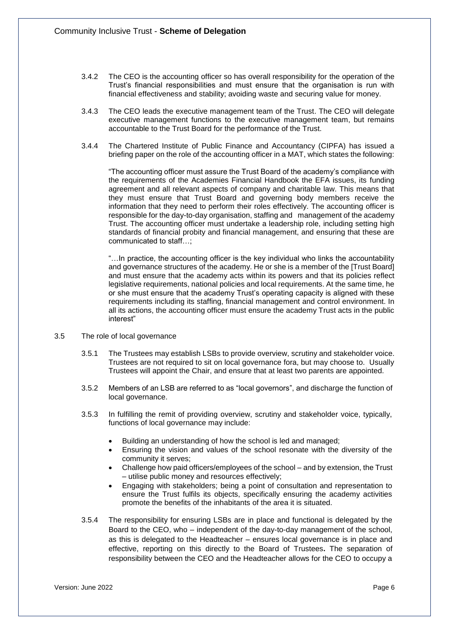- 3.4.2 The CEO is the accounting officer so has overall responsibility for the operation of the Trust's financial responsibilities and must ensure that the organisation is run with financial effectiveness and stability; avoiding waste and securing value for money.
- 3.4.3 The CEO leads the executive management team of the Trust. The CEO will delegate executive management functions to the executive management team, but remains accountable to the Trust Board for the performance of the Trust.
- 3.4.4 The Chartered Institute of Public Finance and Accountancy (CIPFA) has issued a briefing paper on the role of the accounting officer in a MAT, which states the following:

"The accounting officer must assure the Trust Board of the academy's compliance with the requirements of the Academies Financial Handbook the EFA issues, its funding agreement and all relevant aspects of company and charitable law. This means that they must ensure that Trust Board and governing body members receive the information that they need to perform their roles effectively. The accounting officer is responsible for the day-to-day organisation, staffing and management of the academy Trust. The accounting officer must undertake a leadership role, including setting high standards of financial probity and financial management, and ensuring that these are communicated to staff…;

"…In practice, the accounting officer is the key individual who links the accountability and governance structures of the academy. He or she is a member of the [Trust Board] and must ensure that the academy acts within its powers and that its policies reflect legislative requirements, national policies and local requirements. At the same time, he or she must ensure that the academy Trust's operating capacity is aligned with these requirements including its staffing, financial management and control environment. In all its actions, the accounting officer must ensure the academy Trust acts in the public interest"

- 3.5 The role of local governance
	- 3.5.1 The Trustees may establish LSBs to provide overview, scrutiny and stakeholder voice. Trustees are not required to sit on local governance fora, but may choose to. Usually Trustees will appoint the Chair, and ensure that at least two parents are appointed.
	- 3.5.2 Members of an LSB are referred to as "local governors", and discharge the function of local governance.
	- 3.5.3 In fulfilling the remit of providing overview, scrutiny and stakeholder voice, typically, functions of local governance may include:
		- Building an understanding of how the school is led and managed;
		- Ensuring the vision and values of the school resonate with the diversity of the community it serves;
		- Challenge how paid officers/employees of the school and by extension, the Trust – utilise public money and resources effectively;
		- Engaging with stakeholders; being a point of consultation and representation to ensure the Trust fulfils its objects, specifically ensuring the academy activities promote the benefits of the inhabitants of the area it is situated.
	- 3.5.4 The responsibility for ensuring LSBs are in place and functional is delegated by the Board to the CEO, who – independent of the day-to-day management of the school, as this is delegated to the Headteacher – ensures local governance is in place and effective, reporting on this directly to the Board of Trustees**.** The separation of responsibility between the CEO and the Headteacher allows for the CEO to occupy a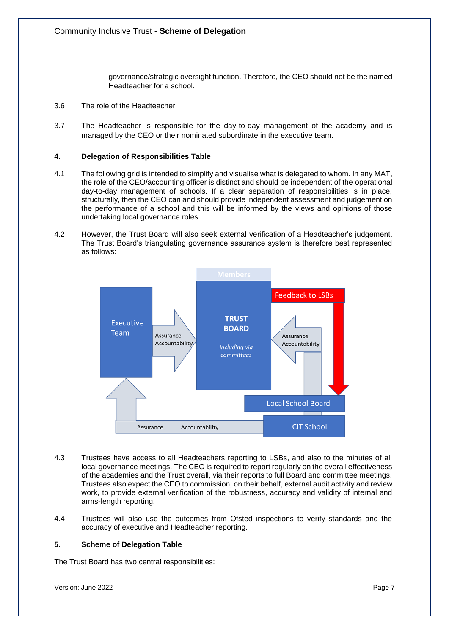governance/strategic oversight function. Therefore, the CEO should not be the named Headteacher for a school.

- 3.6 The role of the Headteacher
- 3.7 The Headteacher is responsible for the day-to-day management of the academy and is managed by the CEO or their nominated subordinate in the executive team.

## **4. Delegation of Responsibilities Table**

- 4.1 The following grid is intended to simplify and visualise what is delegated to whom. In any MAT, the role of the CEO/accounting officer is distinct and should be independent of the operational day-to-day management of schools. If a clear separation of responsibilities is in place, structurally, then the CEO can and should provide independent assessment and judgement on the performance of a school and this will be informed by the views and opinions of those undertaking local governance roles.
- 4.2 However, the Trust Board will also seek external verification of a Headteacher's judgement. The Trust Board's triangulating governance assurance system is therefore best represented as follows:



- 4.3 Trustees have access to all Headteachers reporting to LSBs, and also to the minutes of all local governance meetings. The CEO is required to report regularly on the overall effectiveness of the academies and the Trust overall, via their reports to full Board and committee meetings. Trustees also expect the CEO to commission, on their behalf, external audit activity and review work, to provide external verification of the robustness, accuracy and validity of internal and arms-length reporting.
- 4.4 Trustees will also use the outcomes from Ofsted inspections to verify standards and the accuracy of executive and Headteacher reporting.

# **5. Scheme of Delegation Table**

The Trust Board has two central responsibilities:

Version: June 2022 **Page 7**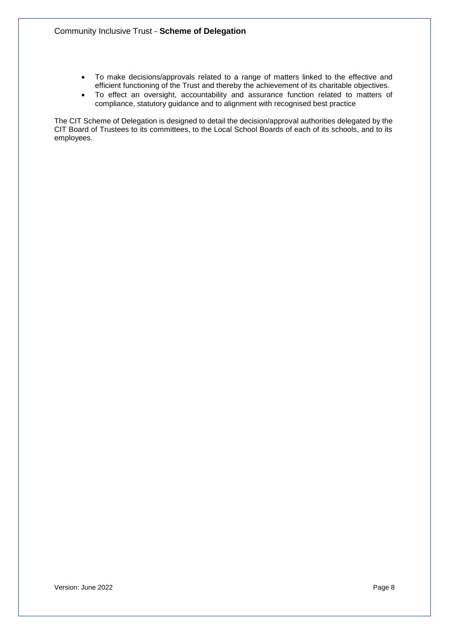- To make decisions/approvals related to a range of matters linked to the effective and efficient functioning of the Trust and thereby the achievement of its charitable objectives.
- To effect an oversight, accountability and assurance function related to matters of compliance, statutory guidance and to alignment with recognised best practice

The CIT Scheme of Delegation is designed to detail the decision/approval authorities delegated by the CIT Board of Trustees to its committees, to the Local School Boards of each of its schools, and to its employees.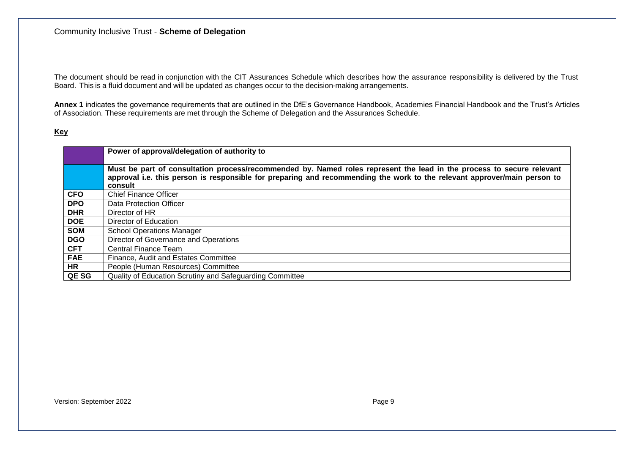The document should be read in conjunction with the CIT Assurances Schedule which describes how the assurance responsibility is delivered by the Trust Board. This is a fluid document and will be updated as changes occur to the decision-making arrangements.

**Annex 1** indicates the governance requirements that are outlined in the DfE's Governance Handbook, Academies Financial Handbook and the Trust's Articles of Association. These requirements are met through the Scheme of Delegation and the Assurances Schedule.

# **Key**

|            | Power of approval/delegation of authority to                                                                                                                                                                                                                 |
|------------|--------------------------------------------------------------------------------------------------------------------------------------------------------------------------------------------------------------------------------------------------------------|
|            | Must be part of consultation process/recommended by. Named roles represent the lead in the process to secure relevant<br>approval i.e. this person is responsible for preparing and recommending the work to the relevant approver/main person to<br>consult |
| <b>CFO</b> | <b>Chief Finance Officer</b>                                                                                                                                                                                                                                 |
| <b>DPO</b> | Data Protection Officer                                                                                                                                                                                                                                      |
| <b>DHR</b> | Director of HR                                                                                                                                                                                                                                               |
| <b>DOE</b> | Director of Education                                                                                                                                                                                                                                        |
| <b>SOM</b> | <b>School Operations Manager</b>                                                                                                                                                                                                                             |
| <b>DGO</b> | Director of Governance and Operations                                                                                                                                                                                                                        |
| <b>CFT</b> | Central Finance Team                                                                                                                                                                                                                                         |
| <b>FAE</b> | Finance, Audit and Estates Committee                                                                                                                                                                                                                         |
| <b>HR</b>  | People (Human Resources) Committee                                                                                                                                                                                                                           |
| QE SG      | Quality of Education Scrutiny and Safeguarding Committee                                                                                                                                                                                                     |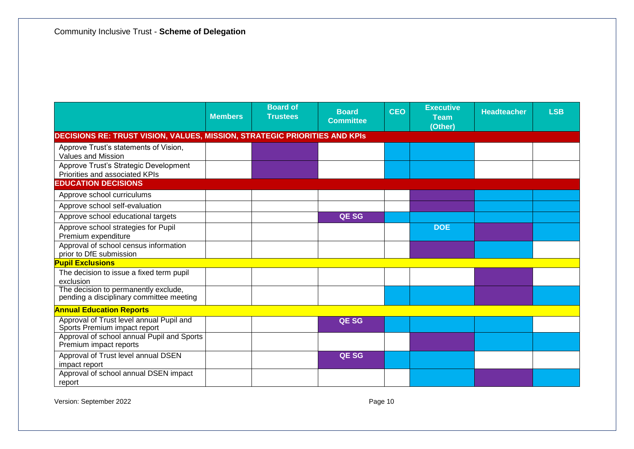|                                                                                   | <b>Members</b> | <b>Board of</b><br><b>Trustees</b> | <b>Board</b><br><b>Committee</b> | <b>CEO</b> | <b>Executive</b><br><b>Team</b><br>(Other) | <b>Headteacher</b> | <b>LSB</b> |
|-----------------------------------------------------------------------------------|----------------|------------------------------------|----------------------------------|------------|--------------------------------------------|--------------------|------------|
| <b>DECISIONS RE: TRUST VISION, VALUES, MISSION, STRATEGIC PRIORITIES AND KPIS</b> |                |                                    |                                  |            |                                            |                    |            |
| Approve Trust's statements of Vision,<br>Values and Mission                       |                |                                    |                                  |            |                                            |                    |            |
| Approve Trust's Strategic Development<br>Priorities and associated KPIs           |                |                                    |                                  |            |                                            |                    |            |
| <b>EDUCATION DECISIONS</b>                                                        |                |                                    |                                  |            |                                            |                    |            |
| Approve school curriculums                                                        |                |                                    |                                  |            |                                            |                    |            |
| Approve school self-evaluation                                                    |                |                                    |                                  |            |                                            |                    |            |
| Approve school educational targets                                                |                |                                    | <b>QESG</b>                      |            |                                            |                    |            |
| Approve school strategies for Pupil<br>Premium expenditure                        |                |                                    |                                  |            | <b>DOE</b>                                 |                    |            |
| Approval of school census information<br>prior to DfE submission                  |                |                                    |                                  |            |                                            |                    |            |
| <b>Pupil Exclusions</b>                                                           |                |                                    |                                  |            |                                            |                    |            |
| The decision to issue a fixed term pupil<br>exclusion                             |                |                                    |                                  |            |                                            |                    |            |
| The decision to permanently exclude,<br>pending a disciplinary committee meeting  |                |                                    |                                  |            |                                            |                    |            |
| <b>Annual Education Reports</b>                                                   |                |                                    |                                  |            |                                            |                    |            |
| Approval of Trust level annual Pupil and<br>Sports Premium impact report          |                |                                    | <b>QESG</b>                      |            |                                            |                    |            |
| Approval of school annual Pupil and Sports<br>Premium impact reports              |                |                                    |                                  |            |                                            |                    |            |
| Approval of Trust level annual DSEN<br>impact report                              |                |                                    | QE SG                            |            |                                            |                    |            |
| Approval of school annual DSEN impact<br>report                                   |                |                                    |                                  |            |                                            |                    |            |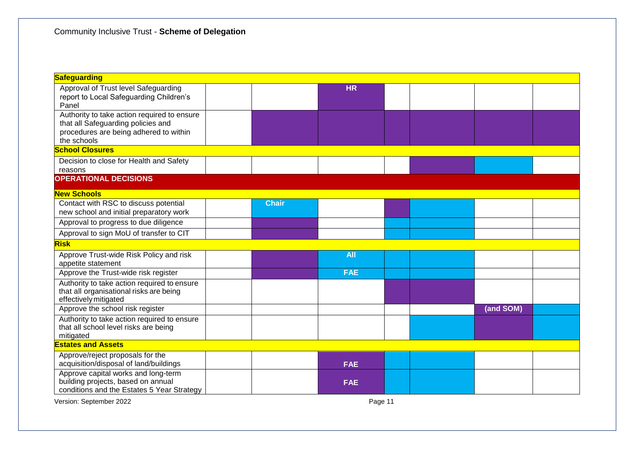| Safeguarding                                                                                                                               |  |              |            |  |  |           |  |  |  |
|--------------------------------------------------------------------------------------------------------------------------------------------|--|--------------|------------|--|--|-----------|--|--|--|
| Approval of Trust level Safeguarding<br>report to Local Safeguarding Children's<br>Panel                                                   |  |              | <b>HR</b>  |  |  |           |  |  |  |
| Authority to take action required to ensure<br>that all Safeguarding policies and<br>procedures are being adhered to within<br>the schools |  |              |            |  |  |           |  |  |  |
| <b>School Closures</b>                                                                                                                     |  |              |            |  |  |           |  |  |  |
| Decision to close for Health and Safety<br>reasons                                                                                         |  |              |            |  |  |           |  |  |  |
| <b>OPERATIONAL DECISIONS</b>                                                                                                               |  |              |            |  |  |           |  |  |  |
| <b>New Schools</b>                                                                                                                         |  |              |            |  |  |           |  |  |  |
| Contact with RSC to discuss potential<br>new school and initial preparatory work                                                           |  | <b>Chair</b> |            |  |  |           |  |  |  |
| Approval to progress to due diligence                                                                                                      |  |              |            |  |  |           |  |  |  |
| Approval to sign MoU of transfer to CIT                                                                                                    |  |              |            |  |  |           |  |  |  |
| <b>Risk</b>                                                                                                                                |  |              |            |  |  |           |  |  |  |
| Approve Trust-wide Risk Policy and risk<br>appetite statement                                                                              |  |              | <b>All</b> |  |  |           |  |  |  |
| Approve the Trust-wide risk register                                                                                                       |  |              | <b>FAE</b> |  |  |           |  |  |  |
| Authority to take action required to ensure<br>that all organisational risks are being<br>effectively mitigated                            |  |              |            |  |  |           |  |  |  |
| Approve the school risk register                                                                                                           |  |              |            |  |  | (and SOM) |  |  |  |
| Authority to take action required to ensure<br>that all school level risks are being<br>mitigated                                          |  |              |            |  |  |           |  |  |  |
| <b>Estates and Assets</b>                                                                                                                  |  |              |            |  |  |           |  |  |  |
| Approve/reject proposals for the<br>acquisition/disposal of land/buildings                                                                 |  |              | <b>FAE</b> |  |  |           |  |  |  |
| Approve capital works and long-term<br>building projects, based on annual<br>conditions and the Estates 5 Year Strategy                    |  |              | <b>FAE</b> |  |  |           |  |  |  |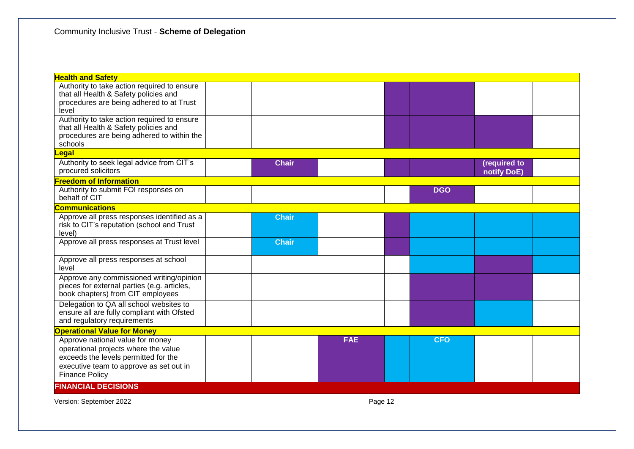| <b>Health and Safety</b>                    |              |            |            |              |  |
|---------------------------------------------|--------------|------------|------------|--------------|--|
| Authority to take action required to ensure |              |            |            |              |  |
| that all Health & Safety policies and       |              |            |            |              |  |
| procedures are being adhered to at Trust    |              |            |            |              |  |
| level                                       |              |            |            |              |  |
| Authority to take action required to ensure |              |            |            |              |  |
| that all Health & Safety policies and       |              |            |            |              |  |
| procedures are being adhered to within the  |              |            |            |              |  |
| schools                                     |              |            |            |              |  |
| <u>Legal</u>                                |              |            |            |              |  |
| Authority to seek legal advice from CIT's   | <b>Chair</b> |            |            | (required to |  |
| procured solicitors                         |              |            |            | notify DoE)  |  |
| <b>Freedom of Information</b>               |              |            |            |              |  |
| Authority to submit FOI responses on        |              |            | <b>DGO</b> |              |  |
| behalf of CIT                               |              |            |            |              |  |
| <b>Communications</b>                       |              |            |            |              |  |
| Approve all press responses identified as a | <b>Chair</b> |            |            |              |  |
| risk to CIT's reputation (school and Trust  |              |            |            |              |  |
| level)                                      |              |            |            |              |  |
| Approve all press responses at Trust level  | <b>Chair</b> |            |            |              |  |
|                                             |              |            |            |              |  |
| Approve all press responses at school       |              |            |            |              |  |
| level                                       |              |            |            |              |  |
| Approve any commissioned writing/opinion    |              |            |            |              |  |
| pieces for external parties (e.g. articles, |              |            |            |              |  |
| book chapters) from CIT employees           |              |            |            |              |  |
| Delegation to QA all school websites to     |              |            |            |              |  |
| ensure all are fully compliant with Ofsted  |              |            |            |              |  |
| and regulatory requirements                 |              |            |            |              |  |
| <b>Operational Value for Money</b>          |              |            |            |              |  |
| Approve national value for money            |              | <b>FAE</b> | <b>CFO</b> |              |  |
| operational projects where the value        |              |            |            |              |  |
| exceeds the levels permitted for the        |              |            |            |              |  |
| executive team to approve as set out in     |              |            |            |              |  |
| <b>Finance Policy</b>                       |              |            |            |              |  |
| <b>FINANCIAL DECISIONS</b>                  |              |            |            |              |  |
| Version: September 2022                     |              | Page 12    |            |              |  |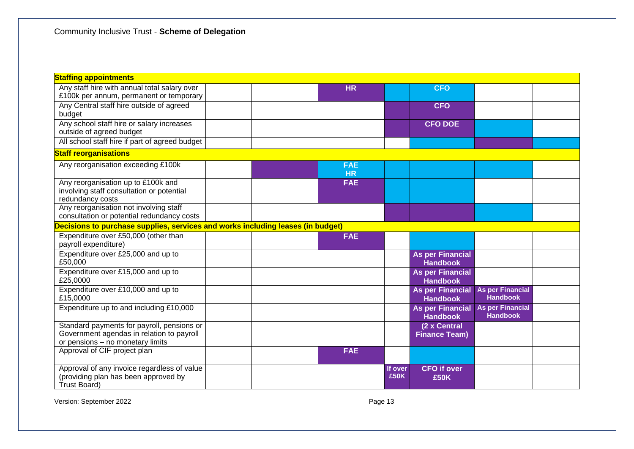| <b>Staffing appointments</b>                                                    |  |                         |             |                                            |                                            |  |
|---------------------------------------------------------------------------------|--|-------------------------|-------------|--------------------------------------------|--------------------------------------------|--|
| Any staff hire with annual total salary over                                    |  | <b>HR</b>               |             | <b>CFO</b>                                 |                                            |  |
| £100k per annum, permanent or temporary                                         |  |                         |             |                                            |                                            |  |
| Any Central staff hire outside of agreed<br>budget                              |  |                         |             | <b>CFO</b>                                 |                                            |  |
| Any school staff hire or salary increases                                       |  |                         |             | <b>CFO DOE</b>                             |                                            |  |
| outside of agreed budget                                                        |  |                         |             |                                            |                                            |  |
| All school staff hire if part of agreed budget                                  |  |                         |             |                                            |                                            |  |
| <b>Staff reorganisations</b>                                                    |  |                         |             |                                            |                                            |  |
| Any reorganisation exceeding £100k                                              |  | <b>FAE</b><br><b>HR</b> |             |                                            |                                            |  |
| Any reorganisation up to £100k and<br>involving staff consultation or potential |  | <b>FAE</b>              |             |                                            |                                            |  |
| redundancy costs                                                                |  |                         |             |                                            |                                            |  |
| Any reorganisation not involving staff                                          |  |                         |             |                                            |                                            |  |
| consultation or potential redundancy costs                                      |  |                         |             |                                            |                                            |  |
| Decisions to purchase supplies, services and works including leases (in budget) |  |                         |             |                                            |                                            |  |
| Expenditure over £50,000 (other than<br>payroll expenditure)                    |  | <b>FAE</b>              |             |                                            |                                            |  |
| Expenditure over £25,000 and up to<br>£50,000                                   |  |                         |             | <b>As per Financial</b><br><b>Handbook</b> |                                            |  |
| Expenditure over £15,000 and up to<br>£25,0000                                  |  |                         |             | <b>As per Financial</b><br><b>Handbook</b> |                                            |  |
| Expenditure over £10,000 and up to<br>£15,0000                                  |  |                         |             | <b>As per Financial</b><br><b>Handbook</b> | <b>As per Financial</b><br><b>Handbook</b> |  |
| Expenditure up to and including £10,000                                         |  |                         |             | <b>As per Financial</b><br><b>Handbook</b> | <b>As per Financial</b><br><b>Handbook</b> |  |
| Standard payments for payroll, pensions or                                      |  |                         |             | (2 x Central                               |                                            |  |
| Government agendas in relation to payroll<br>or pensions - no monetary limits   |  |                         |             | <b>Finance Team)</b>                       |                                            |  |
| Approval of CIF project plan                                                    |  | <b>FAE</b>              |             |                                            |                                            |  |
|                                                                                 |  |                         |             |                                            |                                            |  |
| Approval of any invoice regardless of value                                     |  |                         | If over     | <b>CFO</b> if over                         |                                            |  |
| (providing plan has been approved by<br>Trust Board)                            |  |                         | <b>£50K</b> | <b>£50K</b>                                |                                            |  |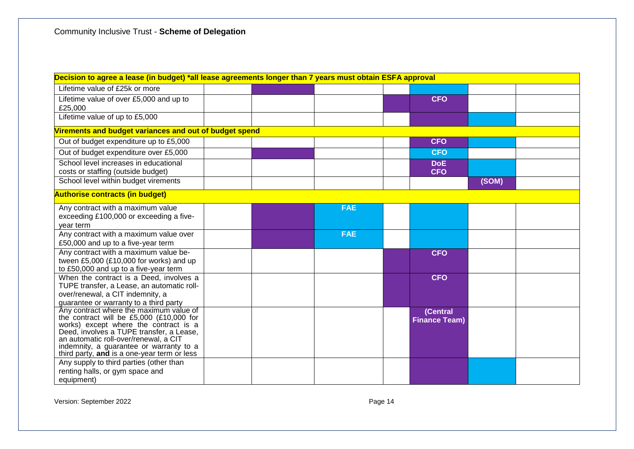| Decision to agree a lease (in budget) *all lease agreements longer than 7 years must obtain ESFA approval                                                                                                                                                                                                   |  |  |            |  |                                  |       |  |  |  |  |
|-------------------------------------------------------------------------------------------------------------------------------------------------------------------------------------------------------------------------------------------------------------------------------------------------------------|--|--|------------|--|----------------------------------|-------|--|--|--|--|
| Lifetime value of £25k or more                                                                                                                                                                                                                                                                              |  |  |            |  |                                  |       |  |  |  |  |
| Lifetime value of over £5,000 and up to<br>£25,000                                                                                                                                                                                                                                                          |  |  |            |  | <b>CFO</b>                       |       |  |  |  |  |
| Lifetime value of up to £5,000                                                                                                                                                                                                                                                                              |  |  |            |  |                                  |       |  |  |  |  |
| Virements and budget variances and out of budget spend                                                                                                                                                                                                                                                      |  |  |            |  |                                  |       |  |  |  |  |
| Out of budget expenditure up to £5,000                                                                                                                                                                                                                                                                      |  |  |            |  | <b>CFO</b>                       |       |  |  |  |  |
| Out of budget expenditure over £5,000                                                                                                                                                                                                                                                                       |  |  |            |  | <b>CFO</b>                       |       |  |  |  |  |
| School level increases in educational<br>costs or staffing (outside budget)                                                                                                                                                                                                                                 |  |  |            |  | <b>DoE</b><br><b>CFO</b>         |       |  |  |  |  |
| School level within budget virements                                                                                                                                                                                                                                                                        |  |  |            |  |                                  | (SOM) |  |  |  |  |
| <b>Authorise contracts (in budget)</b>                                                                                                                                                                                                                                                                      |  |  |            |  |                                  |       |  |  |  |  |
| Any contract with a maximum value<br>exceeding £100,000 or exceeding a five-<br>year term                                                                                                                                                                                                                   |  |  | <b>FAE</b> |  |                                  |       |  |  |  |  |
| Any contract with a maximum value over<br>£50,000 and up to a five-year term                                                                                                                                                                                                                                |  |  | <b>FAE</b> |  |                                  |       |  |  |  |  |
| Any contract with a maximum value be-<br>tween £5,000 (£10,000 for works) and up<br>to £50,000 and up to a five-year term                                                                                                                                                                                   |  |  |            |  | <b>CFO</b>                       |       |  |  |  |  |
| When the contract is a Deed, involves a<br>TUPE transfer, a Lease, an automatic roll-<br>over/renewal, a CIT indemnity, a<br>guarantee or warranty to a third party                                                                                                                                         |  |  |            |  | <b>CFO</b>                       |       |  |  |  |  |
| Any contract where the maximum value of<br>the contract will be £5,000 (£10,000 for<br>works) except where the contract is a<br>Deed, involves a TUPE transfer, a Lease,<br>an automatic roll-over/renewal, a CIT<br>indemnity, a guarantee or warranty to a<br>third party, and is a one-year term or less |  |  |            |  | (Central<br><b>Finance Team)</b> |       |  |  |  |  |
| Any supply to third parties (other than<br>renting halls, or gym space and<br>equipment)                                                                                                                                                                                                                    |  |  |            |  |                                  |       |  |  |  |  |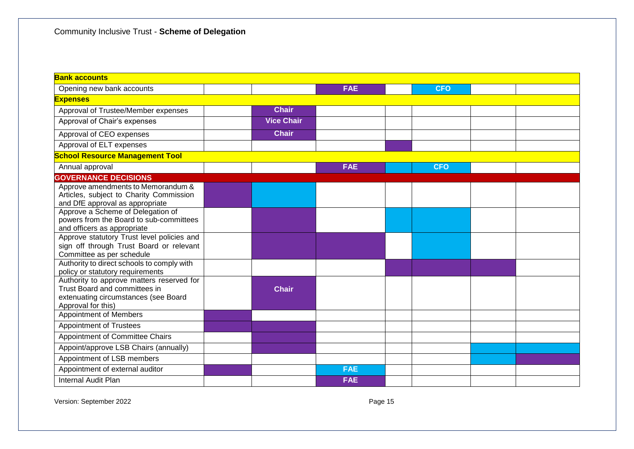| <b>Bank accounts</b>                                                                                                                     |  |                   |            |  |            |  |  |  |  |  |
|------------------------------------------------------------------------------------------------------------------------------------------|--|-------------------|------------|--|------------|--|--|--|--|--|
| Opening new bank accounts                                                                                                                |  |                   | <b>FAE</b> |  | <b>CFO</b> |  |  |  |  |  |
| <b>Expenses</b>                                                                                                                          |  |                   |            |  |            |  |  |  |  |  |
| Approval of Trustee/Member expenses                                                                                                      |  | <b>Chair</b>      |            |  |            |  |  |  |  |  |
| Approval of Chair's expenses                                                                                                             |  | <b>Vice Chair</b> |            |  |            |  |  |  |  |  |
| Approval of CEO expenses                                                                                                                 |  | <b>Chair</b>      |            |  |            |  |  |  |  |  |
| Approval of ELT expenses                                                                                                                 |  |                   |            |  |            |  |  |  |  |  |
| <b>School Resource Management Tool</b>                                                                                                   |  |                   |            |  |            |  |  |  |  |  |
| Annual approval                                                                                                                          |  |                   | <b>FAE</b> |  | <b>CFO</b> |  |  |  |  |  |
| <b>GOVERNANCE DECISIONS</b>                                                                                                              |  |                   |            |  |            |  |  |  |  |  |
| Approve amendments to Memorandum &<br>Articles, subject to Charity Commission<br>and DfE approval as appropriate                         |  |                   |            |  |            |  |  |  |  |  |
| Approve a Scheme of Delegation of<br>powers from the Board to sub-committees<br>and officers as appropriate                              |  |                   |            |  |            |  |  |  |  |  |
| Approve statutory Trust level policies and<br>sign off through Trust Board or relevant<br>Committee as per schedule                      |  |                   |            |  |            |  |  |  |  |  |
| Authority to direct schools to comply with<br>policy or statutory requirements                                                           |  |                   |            |  |            |  |  |  |  |  |
| Authority to approve matters reserved for<br>Trust Board and committees in<br>extenuating circumstances (see Board<br>Approval for this) |  | <b>Chair</b>      |            |  |            |  |  |  |  |  |
| <b>Appointment of Members</b>                                                                                                            |  |                   |            |  |            |  |  |  |  |  |
| <b>Appointment of Trustees</b>                                                                                                           |  |                   |            |  |            |  |  |  |  |  |
| Appointment of Committee Chairs                                                                                                          |  |                   |            |  |            |  |  |  |  |  |
| Appoint/approve LSB Chairs (annually)                                                                                                    |  |                   |            |  |            |  |  |  |  |  |
| Appointment of LSB members                                                                                                               |  |                   |            |  |            |  |  |  |  |  |
| Appointment of external auditor                                                                                                          |  |                   | <b>FAE</b> |  |            |  |  |  |  |  |
| Internal Audit Plan                                                                                                                      |  |                   | <b>FAE</b> |  |            |  |  |  |  |  |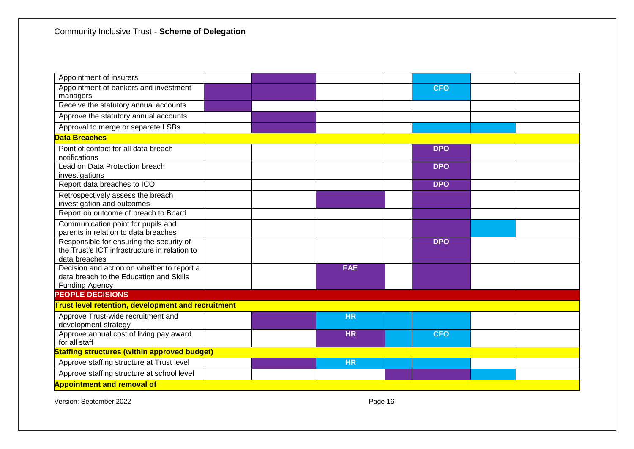| Appointment of insurers                                                                                        |  |            |            |  |
|----------------------------------------------------------------------------------------------------------------|--|------------|------------|--|
| Appointment of bankers and investment<br>managers                                                              |  |            | <b>CFO</b> |  |
| Receive the statutory annual accounts                                                                          |  |            |            |  |
| Approve the statutory annual accounts                                                                          |  |            |            |  |
| Approval to merge or separate LSBs                                                                             |  |            |            |  |
| <b>Data Breaches</b>                                                                                           |  |            |            |  |
| Point of contact for all data breach<br>notifications                                                          |  |            | <b>DPO</b> |  |
| Lead on Data Protection breach<br>investigations                                                               |  |            | <b>DPO</b> |  |
| Report data breaches to ICO                                                                                    |  |            | <b>DPO</b> |  |
| Retrospectively assess the breach<br>investigation and outcomes                                                |  |            |            |  |
| Report on outcome of breach to Board                                                                           |  |            |            |  |
| Communication point for pupils and<br>parents in relation to data breaches                                     |  |            |            |  |
| Responsible for ensuring the security of<br>the Trust's ICT infrastructure in relation to<br>data breaches     |  |            | <b>DPO</b> |  |
| Decision and action on whether to report a<br>data breach to the Education and Skills<br><b>Funding Agency</b> |  | <b>FAE</b> |            |  |
| <b>PEOPLE DECISIONS</b>                                                                                        |  |            |            |  |
| <b>Trust level retention, development and recruitment</b>                                                      |  |            |            |  |
| Approve Trust-wide recruitment and<br>development strategy                                                     |  | <b>HR</b>  |            |  |
| Approve annual cost of living pay award<br>for all staff                                                       |  | <b>HR</b>  | <b>CFO</b> |  |
| <b>Staffing structures (within approved budget)</b>                                                            |  |            |            |  |
| Approve staffing structure at Trust level                                                                      |  | <b>HR</b>  |            |  |
| Approve staffing structure at school level                                                                     |  |            |            |  |
| <b>Appointment and removal of</b>                                                                              |  |            |            |  |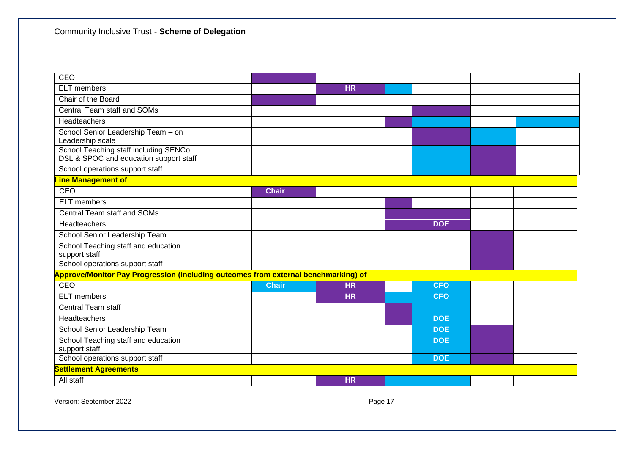| CEO                                                                                |              |           |            |  |
|------------------------------------------------------------------------------------|--------------|-----------|------------|--|
| <b>ELT</b> members                                                                 |              | <b>HR</b> |            |  |
| Chair of the Board                                                                 |              |           |            |  |
| Central Team staff and SOMs                                                        |              |           |            |  |
| Headteachers                                                                       |              |           |            |  |
| School Senior Leadership Team - on<br>Leadership scale                             |              |           |            |  |
| School Teaching staff including SENCo,<br>DSL & SPOC and education support staff   |              |           |            |  |
| School operations support staff                                                    |              |           |            |  |
| <b>Line Management of</b>                                                          |              |           |            |  |
| CEO                                                                                | <b>Chair</b> |           |            |  |
| <b>ELT</b> members                                                                 |              |           |            |  |
| Central Team staff and SOMs                                                        |              |           |            |  |
| Headteachers                                                                       |              |           | <b>DOE</b> |  |
| School Senior Leadership Team                                                      |              |           |            |  |
| School Teaching staff and education<br>support staff                               |              |           |            |  |
| School operations support staff                                                    |              |           |            |  |
| Approve/Monitor Pay Progression (including outcomes from external benchmarking) of |              |           |            |  |
| CEO                                                                                | <b>Chair</b> | <b>HR</b> | <b>CFO</b> |  |
| <b>ELT</b> members                                                                 |              | <b>HR</b> | <b>CFO</b> |  |
| Central Team staff                                                                 |              |           |            |  |
| Headteachers                                                                       |              |           | <b>DOE</b> |  |
| School Senior Leadership Team                                                      |              |           | <b>DOE</b> |  |
| School Teaching staff and education<br>support staff                               |              |           | <b>DOE</b> |  |
| School operations support staff                                                    |              |           | <b>DOE</b> |  |
| <b>Settlement Agreements</b>                                                       |              |           |            |  |
| All staff                                                                          |              | <b>HR</b> |            |  |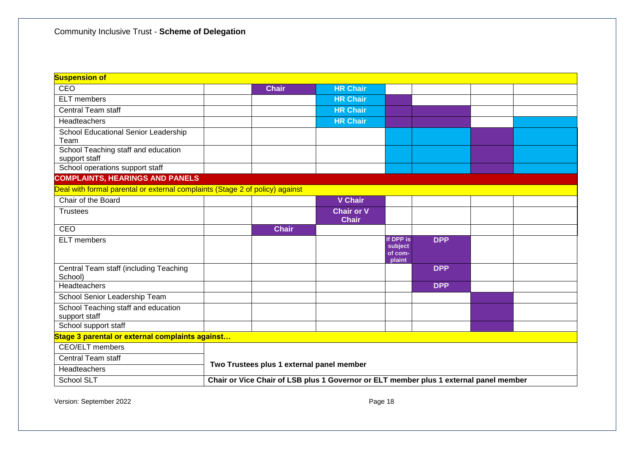| <b>Suspension of</b>                                                         |  |                                                                                       |                                   |                                           |            |  |  |  |  |
|------------------------------------------------------------------------------|--|---------------------------------------------------------------------------------------|-----------------------------------|-------------------------------------------|------------|--|--|--|--|
| <b>CEO</b>                                                                   |  | <b>Chair</b>                                                                          | <b>HR Chair</b>                   |                                           |            |  |  |  |  |
| <b>ELT</b> members                                                           |  |                                                                                       | <b>HR Chair</b>                   |                                           |            |  |  |  |  |
| <b>Central Team staff</b>                                                    |  |                                                                                       | <b>HR Chair</b>                   |                                           |            |  |  |  |  |
| Headteachers                                                                 |  |                                                                                       | <b>HR Chair</b>                   |                                           |            |  |  |  |  |
| School Educational Senior Leadership<br>Team                                 |  |                                                                                       |                                   |                                           |            |  |  |  |  |
| School Teaching staff and education<br>support staff                         |  |                                                                                       |                                   |                                           |            |  |  |  |  |
| School operations support staff                                              |  |                                                                                       |                                   |                                           |            |  |  |  |  |
| <b>COMPLAINTS, HEARINGS AND PANELS</b>                                       |  |                                                                                       |                                   |                                           |            |  |  |  |  |
| Deal with formal parental or external complaints (Stage 2 of policy) against |  |                                                                                       |                                   |                                           |            |  |  |  |  |
| Chair of the Board                                                           |  |                                                                                       | <b>V</b> Chair                    |                                           |            |  |  |  |  |
| <b>Trustees</b>                                                              |  |                                                                                       | <b>Chair or V</b><br><b>Chair</b> |                                           |            |  |  |  |  |
| CEO                                                                          |  | <b>Chair</b>                                                                          |                                   |                                           |            |  |  |  |  |
| <b>ELT</b> members                                                           |  |                                                                                       |                                   | If DPP is<br>subject<br>of com-<br>plaint | <b>DPP</b> |  |  |  |  |
| Central Team staff (including Teaching<br>School)                            |  |                                                                                       |                                   |                                           | <b>DPP</b> |  |  |  |  |
| Headteachers                                                                 |  |                                                                                       |                                   |                                           | <b>DPP</b> |  |  |  |  |
| School Senior Leadership Team                                                |  |                                                                                       |                                   |                                           |            |  |  |  |  |
| School Teaching staff and education<br>support staff                         |  |                                                                                       |                                   |                                           |            |  |  |  |  |
| School support staff                                                         |  |                                                                                       |                                   |                                           |            |  |  |  |  |
| Stage 3 parental or external complaints against                              |  |                                                                                       |                                   |                                           |            |  |  |  |  |
| CEO/ELT members                                                              |  |                                                                                       |                                   |                                           |            |  |  |  |  |
| Central Team staff                                                           |  | Two Trustees plus 1 external panel member                                             |                                   |                                           |            |  |  |  |  |
| Headteachers                                                                 |  |                                                                                       |                                   |                                           |            |  |  |  |  |
| School SLT                                                                   |  | Chair or Vice Chair of LSB plus 1 Governor or ELT member plus 1 external panel member |                                   |                                           |            |  |  |  |  |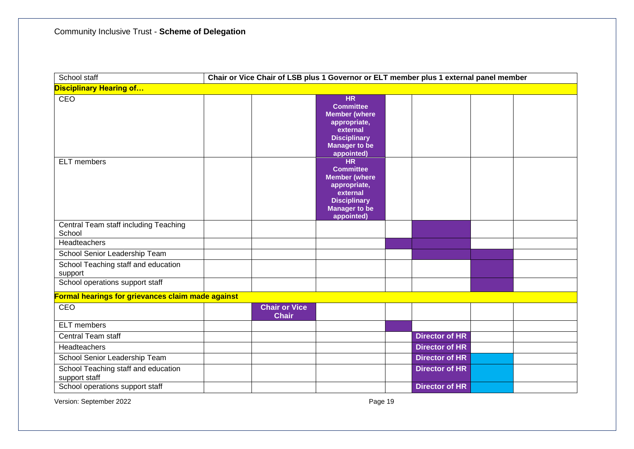| School staff                                                                      | Chair or Vice Chair of LSB plus 1 Governor or ELT member plus 1 external panel member |                                                                                                                                                |  |                       |  |  |  |  |  |
|-----------------------------------------------------------------------------------|---------------------------------------------------------------------------------------|------------------------------------------------------------------------------------------------------------------------------------------------|--|-----------------------|--|--|--|--|--|
| <b>Disciplinary Hearing of</b>                                                    |                                                                                       |                                                                                                                                                |  |                       |  |  |  |  |  |
| <b>CEO</b>                                                                        |                                                                                       | <b>HR</b><br><b>Committee</b><br><b>Member (where</b><br>appropriate,<br>external<br><b>Disciplinary</b><br><b>Manager to be</b><br>appointed) |  |                       |  |  |  |  |  |
| <b>ELT</b> members                                                                |                                                                                       | <b>HR</b><br><b>Committee</b><br><b>Member (where</b><br>appropriate,<br>external<br><b>Disciplinary</b><br><b>Manager to be</b><br>appointed) |  |                       |  |  |  |  |  |
| Central Team staff including Teaching<br>School                                   |                                                                                       |                                                                                                                                                |  |                       |  |  |  |  |  |
| Headteachers                                                                      |                                                                                       |                                                                                                                                                |  |                       |  |  |  |  |  |
| School Senior Leadership Team                                                     |                                                                                       |                                                                                                                                                |  |                       |  |  |  |  |  |
| School Teaching staff and education<br>support<br>School operations support staff |                                                                                       |                                                                                                                                                |  |                       |  |  |  |  |  |
|                                                                                   |                                                                                       |                                                                                                                                                |  |                       |  |  |  |  |  |
| Formal hearings for grievances claim made against<br>CEO                          | <b>Chair or Vice</b><br><b>Chair</b>                                                  |                                                                                                                                                |  |                       |  |  |  |  |  |
| <b>ELT</b> members                                                                |                                                                                       |                                                                                                                                                |  |                       |  |  |  |  |  |
| <b>Central Team staff</b>                                                         |                                                                                       |                                                                                                                                                |  | <b>Director of HR</b> |  |  |  |  |  |
| <b>Headteachers</b>                                                               |                                                                                       |                                                                                                                                                |  | <b>Director of HR</b> |  |  |  |  |  |
| School Senior Leadership Team                                                     |                                                                                       |                                                                                                                                                |  | <b>Director of HR</b> |  |  |  |  |  |
| School Teaching staff and education<br>support staff                              |                                                                                       |                                                                                                                                                |  | <b>Director of HR</b> |  |  |  |  |  |
| School operations support staff                                                   |                                                                                       |                                                                                                                                                |  | <b>Director of HR</b> |  |  |  |  |  |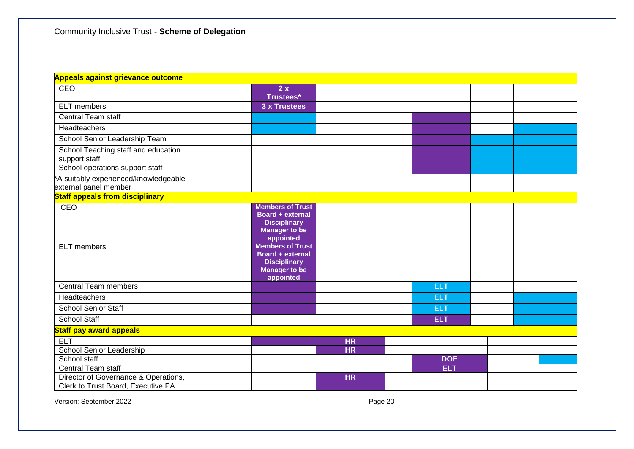| <b>Appeals against grievance outcome</b>                                   |                                                                                                         |           |            |  |  |
|----------------------------------------------------------------------------|---------------------------------------------------------------------------------------------------------|-----------|------------|--|--|
| <b>CEO</b>                                                                 | 2x<br><b>Trustees*</b>                                                                                  |           |            |  |  |
| <b>ELT</b> members                                                         | 3 x Trustees                                                                                            |           |            |  |  |
| <b>Central Team staff</b>                                                  |                                                                                                         |           |            |  |  |
| Headteachers                                                               |                                                                                                         |           |            |  |  |
| School Senior Leadership Team                                              |                                                                                                         |           |            |  |  |
| School Teaching staff and education<br>support staff                       |                                                                                                         |           |            |  |  |
| School operations support staff                                            |                                                                                                         |           |            |  |  |
| *A suitably experienced/knowledgeable<br>external panel member             |                                                                                                         |           |            |  |  |
| <b>Staff appeals from disciplinary</b>                                     |                                                                                                         |           |            |  |  |
| CEO                                                                        | <b>Members of Trust</b><br>Board + external<br><b>Disciplinary</b><br><b>Manager to be</b><br>appointed |           |            |  |  |
| <b>ELT</b> members                                                         | <b>Members of Trust</b><br>Board + external<br><b>Disciplinary</b><br><b>Manager to be</b><br>appointed |           |            |  |  |
| <b>Central Team members</b>                                                |                                                                                                         |           | <b>ELT</b> |  |  |
| Headteachers                                                               |                                                                                                         |           | <b>ELT</b> |  |  |
| <b>School Senior Staff</b>                                                 |                                                                                                         |           | <b>ELT</b> |  |  |
| <b>School Staff</b>                                                        |                                                                                                         |           | <b>ELT</b> |  |  |
| <b>Staff pay award appeals</b>                                             |                                                                                                         |           |            |  |  |
| <b>ELT</b>                                                                 |                                                                                                         | <b>HR</b> |            |  |  |
| School Senior Leadership                                                   |                                                                                                         | <b>HR</b> |            |  |  |
| School staff                                                               |                                                                                                         |           | <b>DOE</b> |  |  |
| Central Team staff                                                         |                                                                                                         |           | <b>ELT</b> |  |  |
| Director of Governance & Operations,<br>Clerk to Trust Board, Executive PA |                                                                                                         | <b>HR</b> |            |  |  |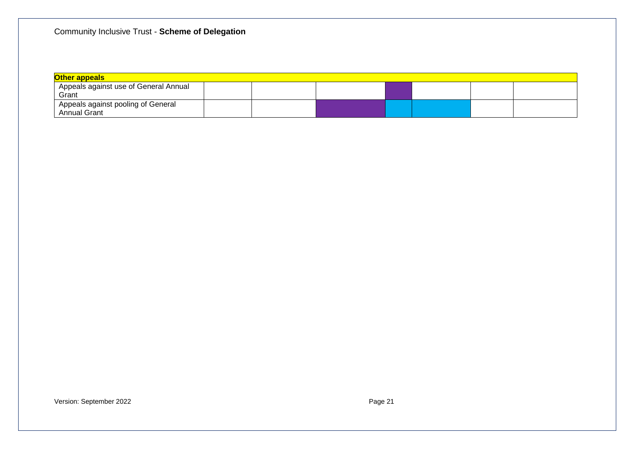| <b>Other appeals</b>                                        |  |  |  |  |  |  |  |  |  |  |
|-------------------------------------------------------------|--|--|--|--|--|--|--|--|--|--|
| <sup>1</sup> Appeals against use of General Annual<br>Grant |  |  |  |  |  |  |  |  |  |  |
| Appeals against pooling of General<br><b>Annual Grant</b>   |  |  |  |  |  |  |  |  |  |  |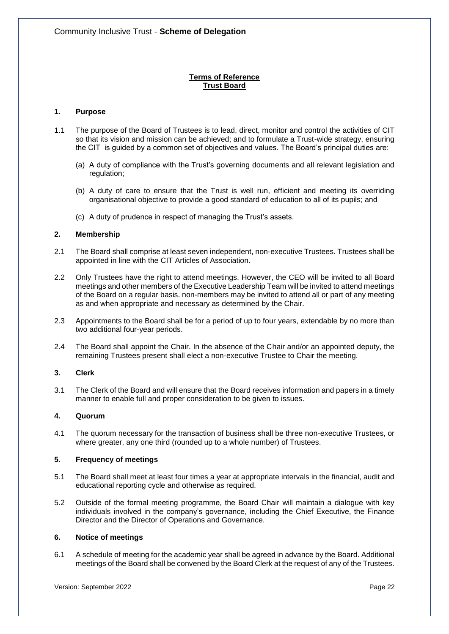# **Terms of Reference Trust Board**

# **1. Purpose**

- 1.1 The purpose of the Board of Trustees is to lead, direct, monitor and control the activities of CIT so that its vision and mission can be achieved; and to formulate a Trust-wide strategy, ensuring the CIT is guided by a common set of objectives and values. The Board's principal duties are:
	- (a) A duty of compliance with the Trust's governing documents and all relevant legislation and regulation;
	- (b) A duty of care to ensure that the Trust is well run, efficient and meeting its overriding organisational objective to provide a good standard of education to all of its pupils; and
	- (c) A duty of prudence in respect of managing the Trust's assets.

## **2. Membership**

- 2.1 The Board shall comprise at least seven independent, non-executive Trustees. Trustees shall be appointed in line with the CIT Articles of Association.
- 2.2 Only Trustees have the right to attend meetings. However, the CEO will be invited to all Board meetings and other members of the Executive Leadership Team will be invited to attend meetings of the Board on a regular basis. non-members may be invited to attend all or part of any meeting as and when appropriate and necessary as determined by the Chair.
- 2.3 Appointments to the Board shall be for a period of up to four years, extendable by no more than two additional four-year periods.
- 2.4 The Board shall appoint the Chair. In the absence of the Chair and/or an appointed deputy, the remaining Trustees present shall elect a non-executive Trustee to Chair the meeting.

## **3. Clerk**

3.1 The Clerk of the Board and will ensure that the Board receives information and papers in a timely manner to enable full and proper consideration to be given to issues.

## **4. Quorum**

4.1 The quorum necessary for the transaction of business shall be three non-executive Trustees, or where greater, any one third (rounded up to a whole number) of Trustees.

## **5. Frequency of meetings**

- 5.1 The Board shall meet at least four times a year at appropriate intervals in the financial, audit and educational reporting cycle and otherwise as required.
- 5.2 Outside of the formal meeting programme, the Board Chair will maintain a dialogue with key individuals involved in the company's governance, including the Chief Executive, the Finance Director and the Director of Operations and Governance.

## **6. Notice of meetings**

6.1 A schedule of meeting for the academic year shall be agreed in advance by the Board. Additional meetings of the Board shall be convened by the Board Clerk at the request of any of the Trustees.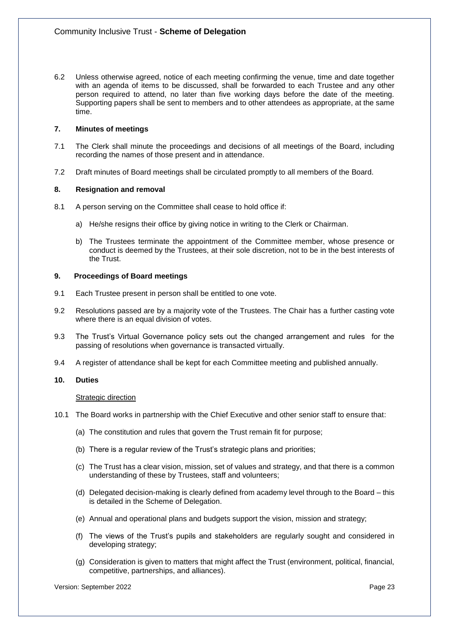6.2 Unless otherwise agreed, notice of each meeting confirming the venue, time and date together with an agenda of items to be discussed, shall be forwarded to each Trustee and any other person required to attend, no later than five working days before the date of the meeting. Supporting papers shall be sent to members and to other attendees as appropriate, at the same time.

## **7. Minutes of meetings**

- 7.1 The Clerk shall minute the proceedings and decisions of all meetings of the Board, including recording the names of those present and in attendance.
- 7.2 Draft minutes of Board meetings shall be circulated promptly to all members of the Board.

## **8. Resignation and removal**

- 8.1 A person serving on the Committee shall cease to hold office if:
	- a) He/she resigns their office by giving notice in writing to the Clerk or Chairman.
	- b) The Trustees terminate the appointment of the Committee member, whose presence or conduct is deemed by the Trustees, at their sole discretion, not to be in the best interests of the Trust.

# **9. Proceedings of Board meetings**

- 9.1 Each Trustee present in person shall be entitled to one vote.
- 9.2 Resolutions passed are by a majority vote of the Trustees. The Chair has a further casting vote where there is an equal division of votes.
- 9.3 The Trust's Virtual Governance policy sets out the changed arrangement and rules for the passing of resolutions when governance is transacted virtually.
- 9.4 A register of attendance shall be kept for each Committee meeting and published annually.

## **10. Duties**

## **Strategic direction**

- 10.1 The Board works in partnership with the Chief Executive and other senior staff to ensure that:
	- (a) The constitution and rules that govern the Trust remain fit for purpose;
	- (b) There is a regular review of the Trust's strategic plans and priorities;
	- (c) The Trust has a clear vision, mission, set of values and strategy, and that there is a common understanding of these by Trustees, staff and volunteers;
	- (d) Delegated decision-making is clearly defined from academy level through to the Board this is detailed in the Scheme of Delegation.
	- (e) Annual and operational plans and budgets support the vision, mission and strategy;
	- (f) The views of the Trust's pupils and stakeholders are regularly sought and considered in developing strategy;
	- (g) Consideration is given to matters that might affect the Trust (environment, political, financial, competitive, partnerships, and alliances).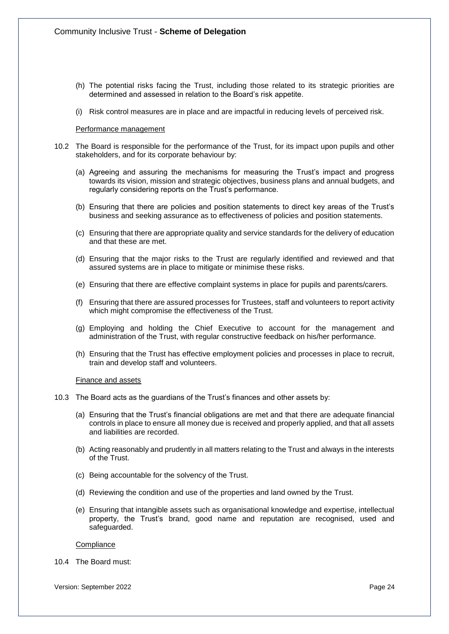- (h) The potential risks facing the Trust, including those related to its strategic priorities are determined and assessed in relation to the Board's risk appetite.
- (i) Risk control measures are in place and are impactful in reducing levels of perceived risk.

#### Performance management

- 10.2 The Board is responsible for the performance of the Trust, for its impact upon pupils and other stakeholders, and for its corporate behaviour by:
	- (a) Agreeing and assuring the mechanisms for measuring the Trust's impact and progress towards its vision, mission and strategic objectives, business plans and annual budgets, and regularly considering reports on the Trust's performance.
	- (b) Ensuring that there are policies and position statements to direct key areas of the Trust's business and seeking assurance as to effectiveness of policies and position statements.
	- (c) Ensuring that there are appropriate quality and service standards for the delivery of education and that these are met.
	- (d) Ensuring that the major risks to the Trust are regularly identified and reviewed and that assured systems are in place to mitigate or minimise these risks.
	- (e) Ensuring that there are effective complaint systems in place for pupils and parents/carers.
	- (f) Ensuring that there are assured processes for Trustees, staff and volunteers to report activity which might compromise the effectiveness of the Trust.
	- (g) Employing and holding the Chief Executive to account for the management and administration of the Trust, with regular constructive feedback on his/her performance.
	- (h) Ensuring that the Trust has effective employment policies and processes in place to recruit, train and develop staff and volunteers.

#### Finance and assets

- 10.3 The Board acts as the guardians of the Trust's finances and other assets by:
	- (a) Ensuring that the Trust's financial obligations are met and that there are adequate financial controls in place to ensure all money due is received and properly applied, and that all assets and liabilities are recorded.
	- (b) Acting reasonably and prudently in all matters relating to the Trust and always in the interests of the Trust.
	- (c) Being accountable for the solvency of the Trust.
	- (d) Reviewing the condition and use of the properties and land owned by the Trust.
	- (e) Ensuring that intangible assets such as organisational knowledge and expertise, intellectual property, the Trust's brand, good name and reputation are recognised, used and safeguarded.

#### **Compliance**

10.4 The Board must: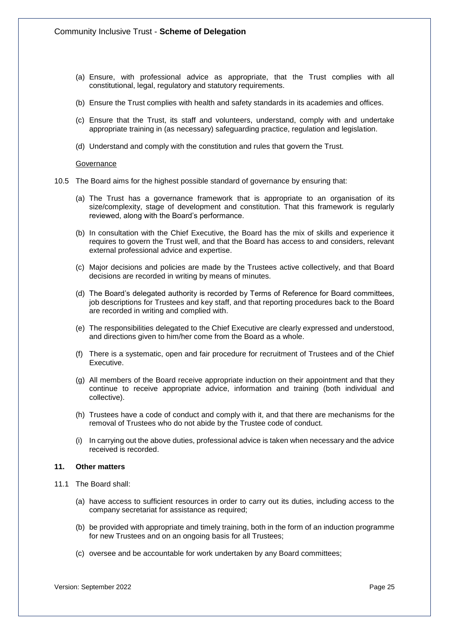- (a) Ensure, with professional advice as appropriate, that the Trust complies with all constitutional, legal, regulatory and statutory requirements.
- (b) Ensure the Trust complies with health and safety standards in its academies and offices.
- (c) Ensure that the Trust, its staff and volunteers, understand, comply with and undertake appropriate training in (as necessary) safeguarding practice, regulation and legislation.
- (d) Understand and comply with the constitution and rules that govern the Trust.

#### **Governance**

- 10.5 The Board aims for the highest possible standard of governance by ensuring that:
	- (a) The Trust has a governance framework that is appropriate to an organisation of its size/complexity, stage of development and constitution. That this framework is regularly reviewed, along with the Board's performance.
	- (b) In consultation with the Chief Executive, the Board has the mix of skills and experience it requires to govern the Trust well, and that the Board has access to and considers, relevant external professional advice and expertise.
	- (c) Major decisions and policies are made by the Trustees active collectively, and that Board decisions are recorded in writing by means of minutes.
	- (d) The Board's delegated authority is recorded by Terms of Reference for Board committees, job descriptions for Trustees and key staff, and that reporting procedures back to the Board are recorded in writing and complied with.
	- (e) The responsibilities delegated to the Chief Executive are clearly expressed and understood, and directions given to him/her come from the Board as a whole.
	- (f) There is a systematic, open and fair procedure for recruitment of Trustees and of the Chief Executive.
	- (g) All members of the Board receive appropriate induction on their appointment and that they continue to receive appropriate advice, information and training (both individual and collective).
	- (h) Trustees have a code of conduct and comply with it, and that there are mechanisms for the removal of Trustees who do not abide by the Trustee code of conduct.
	- (i) In carrying out the above duties, professional advice is taken when necessary and the advice received is recorded.

#### **11. Other matters**

- 11.1 The Board shall:
	- (a) have access to sufficient resources in order to carry out its duties, including access to the company secretariat for assistance as required;
	- (b) be provided with appropriate and timely training, both in the form of an induction programme for new Trustees and on an ongoing basis for all Trustees;
	- (c) oversee and be accountable for work undertaken by any Board committees;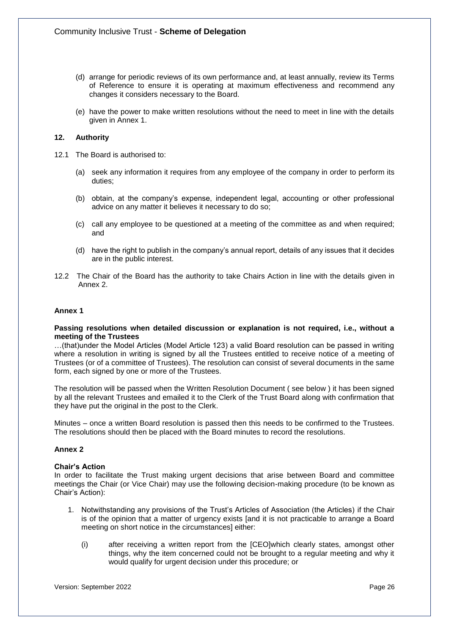- (d) arrange for periodic reviews of its own performance and, at least annually, review its Terms of Reference to ensure it is operating at maximum effectiveness and recommend any changes it considers necessary to the Board.
- (e) have the power to make written resolutions without the need to meet in line with the details given in Annex 1.

# **12. Authority**

- 12.1 The Board is authorised to:
	- (a) seek any information it requires from any employee of the company in order to perform its duties;
	- (b) obtain, at the company's expense, independent legal, accounting or other professional advice on any matter it believes it necessary to do so;
	- (c) call any employee to be questioned at a meeting of the committee as and when required; and
	- (d) have the right to publish in the company's annual report, details of any issues that it decides are in the public interest.
- 12.2 The Chair of the Board has the authority to take Chairs Action in line with the details given in Annex 2.

## **Annex 1**

#### **Passing resolutions when detailed discussion or explanation is not required, i.e., without a meeting of the Trustees**

…(that)under the Model Articles (Model Article 123) a valid Board resolution can be passed in writing where a resolution in writing is signed by all the Trustees entitled to receive notice of a meeting of Trustees (or of a committee of Trustees). The resolution can consist of several documents in the same form, each signed by one or more of the Trustees.

The resolution will be passed when the Written Resolution Document ( see below ) it has been signed by all the relevant Trustees and emailed it to the Clerk of the Trust Board along with confirmation that they have put the original in the post to the Clerk.

Minutes – once a written Board resolution is passed then this needs to be confirmed to the Trustees. The resolutions should then be placed with the Board minutes to record the resolutions.

## **Annex 2**

## **Chair's Action**

In order to facilitate the Trust making urgent decisions that arise between Board and committee meetings the Chair (or Vice Chair) may use the following decision-making procedure (to be known as Chair's Action):

- 1. Notwithstanding any provisions of the Trust's Articles of Association (the Articles) if the Chair is of the opinion that a matter of urgency exists [and it is not practicable to arrange a Board meeting on short notice in the circumstances] either:
	- (i) after receiving a written report from the [CEO]which clearly states, amongst other things, why the item concerned could not be brought to a regular meeting and why it would qualify for urgent decision under this procedure; or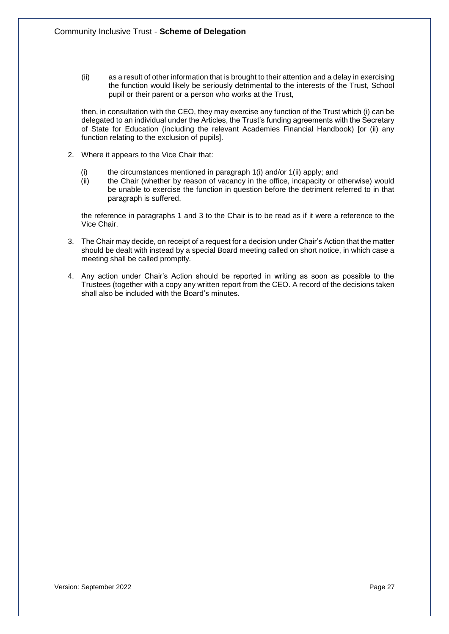(ii) as a result of other information that is brought to their attention and a delay in exercising the function would likely be seriously detrimental to the interests of the Trust, School pupil or their parent or a person who works at the Trust,

then, in consultation with the CEO, they may exercise any function of the Trust which (i) can be delegated to an individual under the Articles, the Trust's funding agreements with the Secretary of State for Education (including the relevant Academies Financial Handbook) [or (ii) any function relating to the exclusion of pupils].

- 2. Where it appears to the Vice Chair that:
	- (i) the circumstances mentioned in paragraph  $1(i)$  and/or  $1(ii)$  apply; and (ii) the Chair (whether by reason of vacancy in the office, incapacity or  $\epsilon$
	- the Chair (whether by reason of vacancy in the office, incapacity or otherwise) would be unable to exercise the function in question before the detriment referred to in that paragraph is suffered,

the reference in paragraphs 1 and 3 to the Chair is to be read as if it were a reference to the Vice Chair.

- 3. The Chair may decide, on receipt of a request for a decision under Chair's Action that the matter should be dealt with instead by a special Board meeting called on short notice, in which case a meeting shall be called promptly.
- 4. Any action under Chair's Action should be reported in writing as soon as possible to the Trustees (together with a copy any written report from the CEO. A record of the decisions taken shall also be included with the Board's minutes.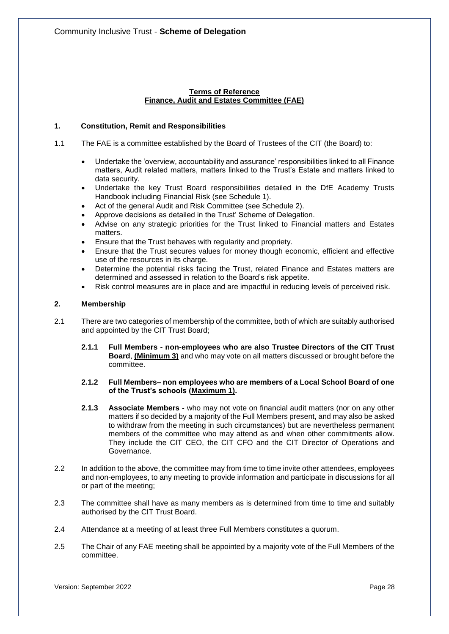# **Terms of Reference Finance, Audit and Estates Committee (FAE)**

# **1. Constitution, Remit and Responsibilities**

- 1.1 The FAE is a committee established by the Board of Trustees of the CIT (the Board) to:
	- Undertake the 'overview, accountability and assurance' responsibilities linked to all Finance matters, Audit related matters, matters linked to the Trust's Estate and matters linked to data security.
	- Undertake the key Trust Board responsibilities detailed in the DfE Academy Trusts Handbook including Financial Risk (see Schedule 1).
	- Act of the general Audit and Risk Committee (see Schedule 2).
	- Approve decisions as detailed in the Trust' Scheme of Delegation.
	- Advise on any strategic priorities for the Trust linked to Financial matters and Estates matters.
	- Ensure that the Trust behaves with regularity and propriety.
	- Ensure that the Trust secures values for money though economic, efficient and effective use of the resources in its charge.
	- Determine the potential risks facing the Trust, related Finance and Estates matters are determined and assessed in relation to the Board's risk appetite.
	- Risk control measures are in place and are impactful in reducing levels of perceived risk.

# **2. Membership**

- 2.1 There are two categories of membership of the committee, both of which are suitably authorised and appointed by the CIT Trust Board;
	- **2.1.1 Full Members - non-employees who are also Trustee Directors of the CIT Trust Board**, **(Minimum 3)** and who may vote on all matters discussed or brought before the committee.

# **2.1.2 Full Members– non employees who are members of a Local School Board of one of the Trust's schools (Maximum 1).**

- **2.1.3 Associate Members** who may not vote on financial audit matters (nor on any other matters if so decided by a majority of the Full Members present, and may also be asked to withdraw from the meeting in such circumstances) but are nevertheless permanent members of the committee who may attend as and when other commitments allow. They include the CIT CEO, the CIT CFO and the CIT Director of Operations and Governance.
- 2.2 In addition to the above, the committee may from time to time invite other attendees, employees and non-employees, to any meeting to provide information and participate in discussions for all or part of the meeting;
- 2.3 The committee shall have as many members as is determined from time to time and suitably authorised by the CIT Trust Board.
- 2.4 Attendance at a meeting of at least three Full Members constitutes a quorum.
- 2.5 The Chair of any FAE meeting shall be appointed by a majority vote of the Full Members of the committee.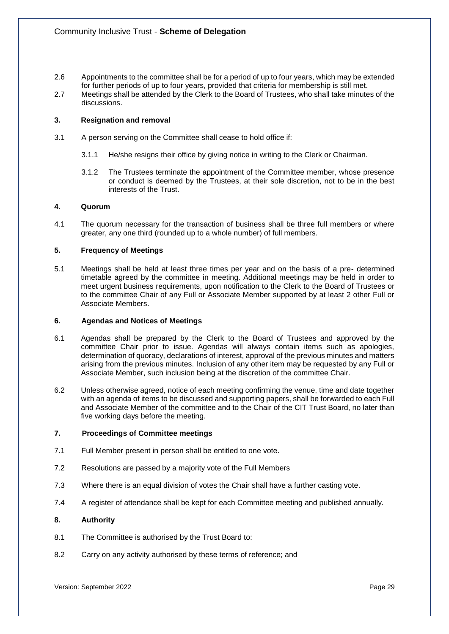- 2.6 Appointments to the committee shall be for a period of up to four years, which may be extended for further periods of up to four years, provided that criteria for membership is still met.
- 2.7 Meetings shall be attended by the Clerk to the Board of Trustees, who shall take minutes of the discussions.

## **3. Resignation and removal**

- 3.1 A person serving on the Committee shall cease to hold office if:
	- 3.1.1 He/she resigns their office by giving notice in writing to the Clerk or Chairman.
	- 3.1.2 The Trustees terminate the appointment of the Committee member, whose presence or conduct is deemed by the Trustees, at their sole discretion, not to be in the best interests of the Trust.

## **4. Quorum**

4.1 The quorum necessary for the transaction of business shall be three full members or where greater, any one third (rounded up to a whole number) of full members.

# **5. Frequency of Meetings**

5.1 Meetings shall be held at least three times per year and on the basis of a pre- determined timetable agreed by the committee in meeting. Additional meetings may be held in order to meet urgent business requirements, upon notification to the Clerk to the Board of Trustees or to the committee Chair of any Full or Associate Member supported by at least 2 other Full or Associate Members.

## **6. Agendas and Notices of Meetings**

- 6.1 Agendas shall be prepared by the Clerk to the Board of Trustees and approved by the committee Chair prior to issue. Agendas will always contain items such as apologies, determination of quoracy, declarations of interest, approval of the previous minutes and matters arising from the previous minutes. Inclusion of any other item may be requested by any Full or Associate Member, such inclusion being at the discretion of the committee Chair.
- 6.2 Unless otherwise agreed, notice of each meeting confirming the venue, time and date together with an agenda of items to be discussed and supporting papers, shall be forwarded to each Full and Associate Member of the committee and to the Chair of the CIT Trust Board, no later than five working days before the meeting.

# **7. Proceedings of Committee meetings**

- 7.1 Full Member present in person shall be entitled to one vote.
- 7.2 Resolutions are passed by a majority vote of the Full Members
- 7.3 Where there is an equal division of votes the Chair shall have a further casting vote.
- 7.4 A register of attendance shall be kept for each Committee meeting and published annually.

# **8. Authority**

- 8.1 The Committee is authorised by the Trust Board to:
- 8.2 Carry on any activity authorised by these terms of reference; and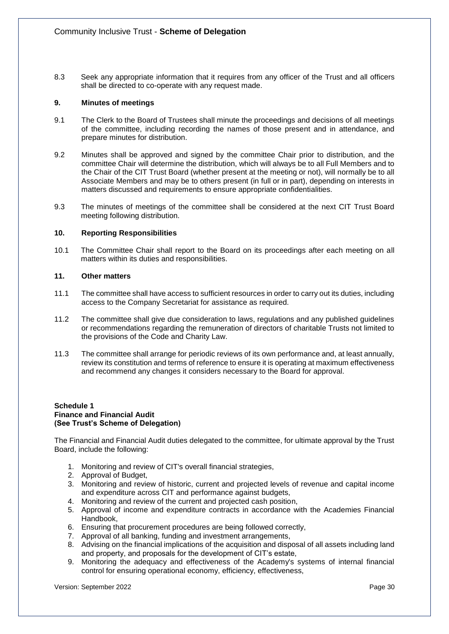8.3 Seek any appropriate information that it requires from any officer of the Trust and all officers shall be directed to co-operate with any request made.

# **9. Minutes of meetings**

- 9.1 The Clerk to the Board of Trustees shall minute the proceedings and decisions of all meetings of the committee, including recording the names of those present and in attendance, and prepare minutes for distribution.
- 9.2 Minutes shall be approved and signed by the committee Chair prior to distribution, and the committee Chair will determine the distribution, which will always be to all Full Members and to the Chair of the CIT Trust Board (whether present at the meeting or not), will normally be to all Associate Members and may be to others present (in full or in part), depending on interests in matters discussed and requirements to ensure appropriate confidentialities.
- 9.3 The minutes of meetings of the committee shall be considered at the next CIT Trust Board meeting following distribution.

# **10. Reporting Responsibilities**

10.1 The Committee Chair shall report to the Board on its proceedings after each meeting on all matters within its duties and responsibilities.

# **11. Other matters**

- 11.1 The committee shall have access to sufficient resources in order to carry out its duties, including access to the Company Secretariat for assistance as required.
- 11.2 The committee shall give due consideration to laws, regulations and any published guidelines or recommendations regarding the remuneration of directors of charitable Trusts not limited to the provisions of the Code and Charity Law.
- 11.3 The committee shall arrange for periodic reviews of its own performance and, at least annually, review its constitution and terms of reference to ensure it is operating at maximum effectiveness and recommend any changes it considers necessary to the Board for approval.

## **Schedule 1 Finance and Financial Audit (See Trust's Scheme of Delegation)**

The Financial and Financial Audit duties delegated to the committee, for ultimate approval by the Trust Board, include the following:

- 1. Monitoring and review of CIT's overall financial strategies,
- 2. Approval of Budget,
- 3. Monitoring and review of historic, current and projected levels of revenue and capital income and expenditure across CIT and performance against budgets,
- 4. Monitoring and review of the current and projected cash position,
- 5. Approval of income and expenditure contracts in accordance with the Academies Financial Handbook,
- 6. Ensuring that procurement procedures are being followed correctly,
- 7. Approval of all banking, funding and investment arrangements,
- 8. Advising on the financial implications of the acquisition and disposal of all assets including land and property, and proposals for the development of CIT's estate,
- 9. Monitoring the adequacy and effectiveness of the Academy's systems of internal financial control for ensuring operational economy, efficiency, effectiveness,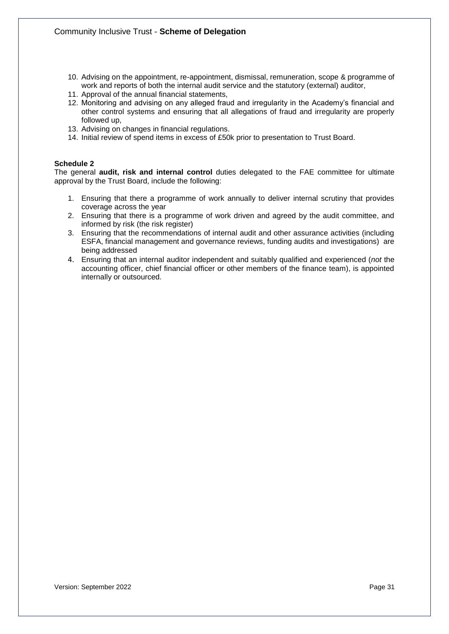- 10. Advising on the appointment, re-appointment, dismissal, remuneration, scope & programme of work and reports of both the internal audit service and the statutory (external) auditor,
- 11. Approval of the annual financial statements,
- 12. Monitoring and advising on any alleged fraud and irregularity in the Academy's financial and other control systems and ensuring that all allegations of fraud and irregularity are properly followed up,
- 13. Advising on changes in financial regulations.
- 14. Initial review of spend items in excess of £50k prior to presentation to Trust Board.

# **Schedule 2**

The general **audit, risk and internal control** duties delegated to the FAE committee for ultimate approval by the Trust Board, include the following:

- 1. Ensuring that there a programme of work annually to deliver internal scrutiny that provides coverage across the year
- 2. Ensuring that there is a programme of work driven and agreed by the audit committee, and informed by risk (the risk register)
- 3. Ensuring that the recommendations of internal audit and other assurance activities (including ESFA, financial management and governance reviews, funding audits and investigations) are being addressed
- 4. Ensuring that an internal auditor independent and suitably qualified and experienced (*not* the accounting officer, chief financial officer or other members of the finance team), is appointed internally or outsourced.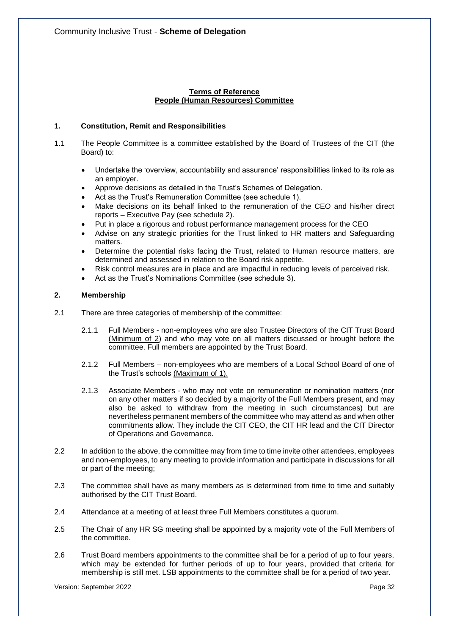# **Terms of Reference People (Human Resources) Committee**

# **1. Constitution, Remit and Responsibilities**

- 1.1 The People Committee is a committee established by the Board of Trustees of the CIT (the Board) to:
	- Undertake the 'overview, accountability and assurance' responsibilities linked to its role as an employer.
	- Approve decisions as detailed in the Trust's Schemes of Delegation.
	- Act as the Trust's Remuneration Committee (see schedule 1).
	- Make decisions on its behalf linked to the remuneration of the CEO and his/her direct reports – Executive Pay (see schedule 2).
	- Put in place a rigorous and robust performance management process for the CEO
	- Advise on any strategic priorities for the Trust linked to HR matters and Safeguarding matters.
	- Determine the potential risks facing the Trust, related to Human resource matters, are determined and assessed in relation to the Board risk appetite.
	- Risk control measures are in place and are impactful in reducing levels of perceived risk.
	- Act as the Trust's Nominations Committee (see schedule 3).

# **2. Membership**

- 2.1 There are three categories of membership of the committee:
	- 2.1.1 Full Members non-employees who are also Trustee Directors of the CIT Trust Board (Minimum of 2) and who may vote on all matters discussed or brought before the committee. Full members are appointed by the Trust Board.
	- 2.1.2 Full Members non-employees who are members of a Local School Board of one of the Trust's schools (Maximum of 1).
	- 2.1.3 Associate Members who may not vote on remuneration or nomination matters (nor on any other matters if so decided by a majority of the Full Members present, and may also be asked to withdraw from the meeting in such circumstances) but are nevertheless permanent members of the committee who may attend as and when other commitments allow. They include the CIT CEO, the CIT HR lead and the CIT Director of Operations and Governance.
- 2.2 In addition to the above, the committee may from time to time invite other attendees, employees and non-employees, to any meeting to provide information and participate in discussions for all or part of the meeting;
- 2.3 The committee shall have as many members as is determined from time to time and suitably authorised by the CIT Trust Board.
- 2.4 Attendance at a meeting of at least three Full Members constitutes a quorum.
- 2.5 The Chair of any HR SG meeting shall be appointed by a majority vote of the Full Members of the committee.
- 2.6 Trust Board members appointments to the committee shall be for a period of up to four years, which may be extended for further periods of up to four years, provided that criteria for membership is still met. LSB appointments to the committee shall be for a period of two year.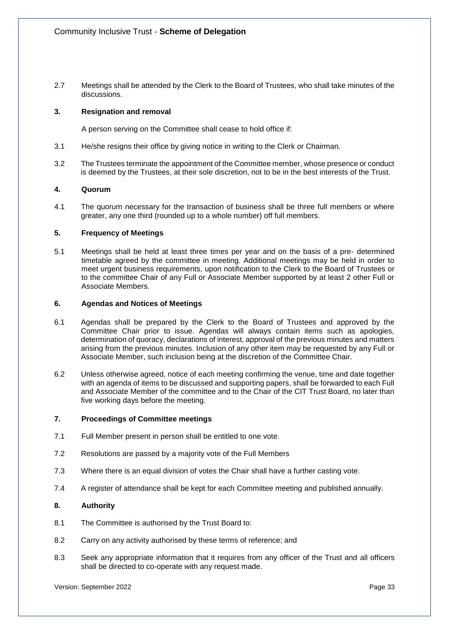2.7 Meetings shall be attended by the Clerk to the Board of Trustees, who shall take minutes of the discussions.

# **3. Resignation and removal**

A person serving on the Committee shall cease to hold office if:

- 3.1 He/she resigns their office by giving notice in writing to the Clerk or Chairman.
- 3.2 The Trustees terminate the appointment of the Committee member, whose presence or conduct is deemed by the Trustees, at their sole discretion, not to be in the best interests of the Trust.

# **4. Quorum**

4.1 The quorum necessary for the transaction of business shall be three full members or where greater, any one third (rounded up to a whole number) off full members.

# **5. Frequency of Meetings**

5.1 Meetings shall be held at least three times per year and on the basis of a pre- determined timetable agreed by the committee in meeting. Additional meetings may be held in order to meet urgent business requirements, upon notification to the Clerk to the Board of Trustees or to the committee Chair of any Full or Associate Member supported by at least 2 other Full or Associate Members.

## **6. Agendas and Notices of Meetings**

- 6.1 Agendas shall be prepared by the Clerk to the Board of Trustees and approved by the Committee Chair prior to issue. Agendas will always contain items such as apologies, determination of quoracy, declarations of interest, approval of the previous minutes and matters arising from the previous minutes. Inclusion of any other item may be requested by any Full or Associate Member, such inclusion being at the discretion of the Committee Chair.
- 6.2 Unless otherwise agreed, notice of each meeting confirming the venue, time and date together with an agenda of items to be discussed and supporting papers, shall be forwarded to each Full and Associate Member of the committee and to the Chair of the CIT Trust Board, no later than five working days before the meeting.

## **7. Proceedings of Committee meetings**

- 7.1 Full Member present in person shall be entitled to one vote.
- 7.2 Resolutions are passed by a majority vote of the Full Members
- 7.3 Where there is an equal division of votes the Chair shall have a further casting vote.
- 7.4 A register of attendance shall be kept for each Committee meeting and published annually.

# **8. Authority**

- 8.1 The Committee is authorised by the Trust Board to:
- 8.2 Carry on any activity authorised by these terms of reference; and
- 8.3 Seek any appropriate information that it requires from any officer of the Trust and all officers shall be directed to co-operate with any request made.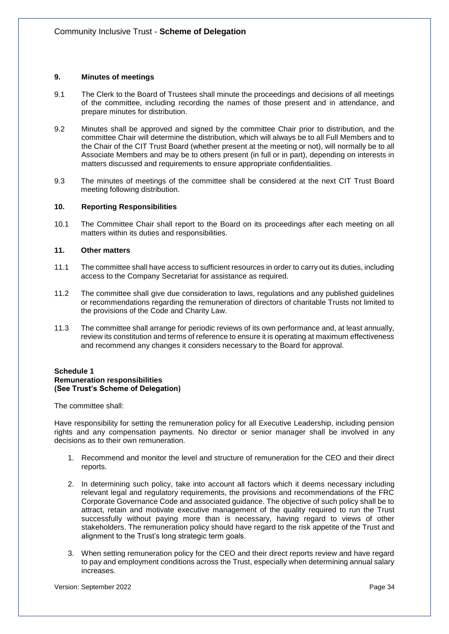# **9. Minutes of meetings**

- 9.1 The Clerk to the Board of Trustees shall minute the proceedings and decisions of all meetings of the committee, including recording the names of those present and in attendance, and prepare minutes for distribution.
- 9.2 Minutes shall be approved and signed by the committee Chair prior to distribution, and the committee Chair will determine the distribution, which will always be to all Full Members and to the Chair of the CIT Trust Board (whether present at the meeting or not), will normally be to all Associate Members and may be to others present (in full or in part), depending on interests in matters discussed and requirements to ensure appropriate confidentialities.
- 9.3 The minutes of meetings of the committee shall be considered at the next CIT Trust Board meeting following distribution.

## **10. Reporting Responsibilities**

10.1 The Committee Chair shall report to the Board on its proceedings after each meeting on all matters within its duties and responsibilities.

#### **11. Other matters**

- 11.1 The committee shall have access to sufficient resources in order to carry out its duties, including access to the Company Secretariat for assistance as required.
- 11.2 The committee shall give due consideration to laws, regulations and any published guidelines or recommendations regarding the remuneration of directors of charitable Trusts not limited to the provisions of the Code and Charity Law.
- 11.3 The committee shall arrange for periodic reviews of its own performance and, at least annually, review its constitution and terms of reference to ensure it is operating at maximum effectiveness and recommend any changes it considers necessary to the Board for approval.

#### **Schedule 1 Remuneration responsibilities (See Trust's Scheme of Delegation)**

The committee shall:

Have responsibility for setting the remuneration policy for all Executive Leadership, including pension rights and any compensation payments. No director or senior manager shall be involved in any decisions as to their own remuneration.

- 1. Recommend and monitor the level and structure of remuneration for the CEO and their direct reports.
- 2. In determining such policy, take into account all factors which it deems necessary including relevant legal and regulatory requirements, the provisions and recommendations of the FRC Corporate Governance Code and associated guidance. The objective of such policy shall be to attract, retain and motivate executive management of the quality required to run the Trust successfully without paying more than is necessary, having regard to views of other stakeholders. The remuneration policy should have regard to the risk appetite of the Trust and alignment to the Trust's long strategic term goals.
- 3. When setting remuneration policy for the CEO and their direct reports review and have regard to pay and employment conditions across the Trust, especially when determining annual salary increases.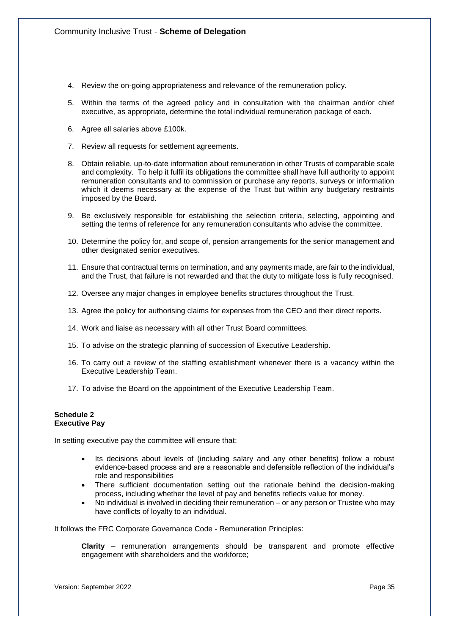- 4. Review the on-going appropriateness and relevance of the remuneration policy.
- 5. Within the terms of the agreed policy and in consultation with the chairman and/or chief executive, as appropriate, determine the total individual remuneration package of each.
- 6. Agree all salaries above £100k.
- 7. Review all requests for settlement agreements.
- 8. Obtain reliable, up-to-date information about remuneration in other Trusts of comparable scale and complexity. To help it fulfil its obligations the committee shall have full authority to appoint remuneration consultants and to commission or purchase any reports, surveys or information which it deems necessary at the expense of the Trust but within any budgetary restraints imposed by the Board.
- 9. Be exclusively responsible for establishing the selection criteria, selecting, appointing and setting the terms of reference for any remuneration consultants who advise the committee.
- 10. Determine the policy for, and scope of, pension arrangements for the senior management and other designated senior executives.
- 11. Ensure that contractual terms on termination, and any payments made, are fair to the individual, and the Trust, that failure is not rewarded and that the duty to mitigate loss is fully recognised.
- 12. Oversee any major changes in employee benefits structures throughout the Trust.
- 13. Agree the policy for authorising claims for expenses from the CEO and their direct reports.
- 14. Work and liaise as necessary with all other Trust Board committees.
- 15. To advise on the strategic planning of succession of Executive Leadership.
- 16. To carry out a review of the staffing establishment whenever there is a vacancy within the Executive Leadership Team.
- 17. To advise the Board on the appointment of the Executive Leadership Team.

#### **Schedule 2 Executive Pay**

In setting executive pay the committee will ensure that:

- Its decisions about levels of (including salary and any other benefits) follow a robust evidence-based process and are a reasonable and defensible reflection of the individual's role and responsibilities
- There sufficient documentation setting out the rationale behind the decision-making process, including whether the level of pay and benefits reflects value for money.
- No individual is involved in deciding their remuneration or any person or Trustee who may have conflicts of loyalty to an individual.

It follows the FRC Corporate Governance Code - Remuneration Principles:

**Clarity** – remuneration arrangements should be transparent and promote effective engagement with shareholders and the workforce;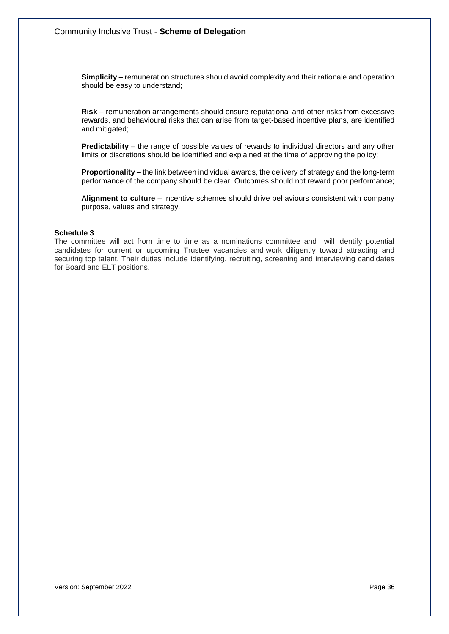**Simplicity** – remuneration structures should avoid complexity and their rationale and operation should be easy to understand;

**Risk** – remuneration arrangements should ensure reputational and other risks from excessive rewards, and behavioural risks that can arise from target-based incentive plans, are identified and mitigated;

**Predictability** – the range of possible values of rewards to individual directors and any other limits or discretions should be identified and explained at the time of approving the policy;

**Proportionality** – the link between individual awards, the delivery of strategy and the long-term performance of the company should be clear. Outcomes should not reward poor performance;

**Alignment to culture** – incentive schemes should drive behaviours consistent with company purpose, values and strategy.

#### **Schedule 3**

The committee will act from time to time as a nominations committee and will identify potential candidates for current or upcoming Trustee vacancies and work diligently toward attracting and securing top talent. Their duties include identifying, recruiting, screening and interviewing candidates for Board and ELT positions.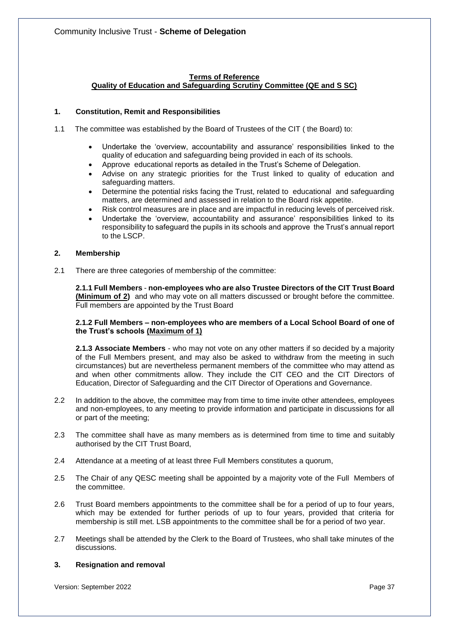# **Terms of Reference Quality of Education and Safeguarding Scrutiny Committee (QE and S SC)**

# **1. Constitution, Remit and Responsibilities**

- 1.1 The committee was established by the Board of Trustees of the CIT ( the Board) to:
	- Undertake the 'overview, accountability and assurance' responsibilities linked to the quality of education and safeguarding being provided in each of its schools.
	- Approve educational reports as detailed in the Trust's Scheme of Delegation.
	- Advise on any strategic priorities for the Trust linked to quality of education and safeguarding matters.
	- Determine the potential risks facing the Trust, related to educational and safeguarding matters, are determined and assessed in relation to the Board risk appetite.
	- Risk control measures are in place and are impactful in reducing levels of perceived risk.
	- Undertake the 'overview, accountability and assurance' responsibilities linked to its responsibility to safeguard the pupils in its schools and approve the Trust's annual report to the LSCP.

# **2. Membership**

2.1 There are three categories of membership of the committee:

**2.1.1 Full Members** - **non-employees who are also Trustee Directors of the CIT Trust Board (Minimum of 2)** and who may vote on all matters discussed or brought before the committee. Full members are appointed by the Trust Board

## **2.1.2 Full Members – non-employees who are members of a Local School Board of one of the Trust's schools (Maximum of 1)**

**2.1.3 Associate Members** - who may not vote on any other matters if so decided by a majority of the Full Members present, and may also be asked to withdraw from the meeting in such circumstances) but are nevertheless permanent members of the committee who may attend as and when other commitments allow. They include the CIT CEO and the CIT Directors of Education, Director of Safeguarding and the CIT Director of Operations and Governance.

- 2.2 In addition to the above, the committee may from time to time invite other attendees, employees and non-employees, to any meeting to provide information and participate in discussions for all or part of the meeting;
- 2.3 The committee shall have as many members as is determined from time to time and suitably authorised by the CIT Trust Board,
- 2.4 Attendance at a meeting of at least three Full Members constitutes a quorum,
- 2.5 The Chair of any QESC meeting shall be appointed by a majority vote of the Full Members of the committee.
- 2.6 Trust Board members appointments to the committee shall be for a period of up to four years, which may be extended for further periods of up to four years, provided that criteria for membership is still met. LSB appointments to the committee shall be for a period of two year.
- 2.7 Meetings shall be attended by the Clerk to the Board of Trustees, who shall take minutes of the discussions.

## **3. Resignation and removal**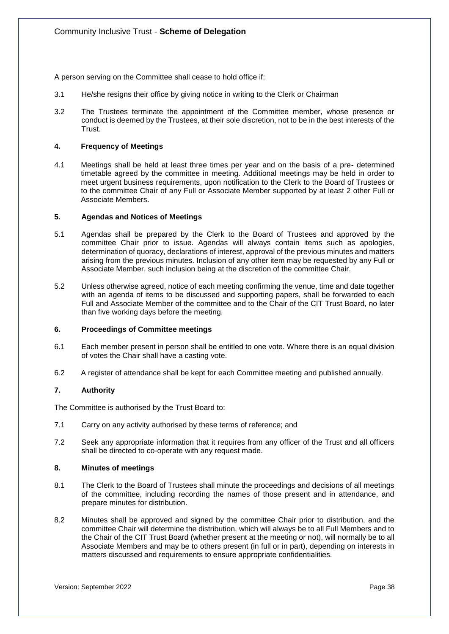A person serving on the Committee shall cease to hold office if:

- 3.1 He/she resigns their office by giving notice in writing to the Clerk or Chairman
- 3.2 The Trustees terminate the appointment of the Committee member, whose presence or conduct is deemed by the Trustees, at their sole discretion, not to be in the best interests of the Trust.

## **4. Frequency of Meetings**

4.1 Meetings shall be held at least three times per year and on the basis of a pre- determined timetable agreed by the committee in meeting. Additional meetings may be held in order to meet urgent business requirements, upon notification to the Clerk to the Board of Trustees or to the committee Chair of any Full or Associate Member supported by at least 2 other Full or Associate Members.

## **5. Agendas and Notices of Meetings**

- 5.1 Agendas shall be prepared by the Clerk to the Board of Trustees and approved by the committee Chair prior to issue. Agendas will always contain items such as apologies, determination of quoracy, declarations of interest, approval of the previous minutes and matters arising from the previous minutes. Inclusion of any other item may be requested by any Full or Associate Member, such inclusion being at the discretion of the committee Chair.
- 5.2 Unless otherwise agreed, notice of each meeting confirming the venue, time and date together with an agenda of items to be discussed and supporting papers, shall be forwarded to each Full and Associate Member of the committee and to the Chair of the CIT Trust Board, no later than five working days before the meeting.

## **6. Proceedings of Committee meetings**

- 6.1 Each member present in person shall be entitled to one vote. Where there is an equal division of votes the Chair shall have a casting vote.
- 6.2 A register of attendance shall be kept for each Committee meeting and published annually.

# **7. Authority**

The Committee is authorised by the Trust Board to:

- 7.1 Carry on any activity authorised by these terms of reference; and
- 7.2 Seek any appropriate information that it requires from any officer of the Trust and all officers shall be directed to co-operate with any request made.

## **8. Minutes of meetings**

- 8.1 The Clerk to the Board of Trustees shall minute the proceedings and decisions of all meetings of the committee, including recording the names of those present and in attendance, and prepare minutes for distribution.
- 8.2 Minutes shall be approved and signed by the committee Chair prior to distribution, and the committee Chair will determine the distribution, which will always be to all Full Members and to the Chair of the CIT Trust Board (whether present at the meeting or not), will normally be to all Associate Members and may be to others present (in full or in part), depending on interests in matters discussed and requirements to ensure appropriate confidentialities.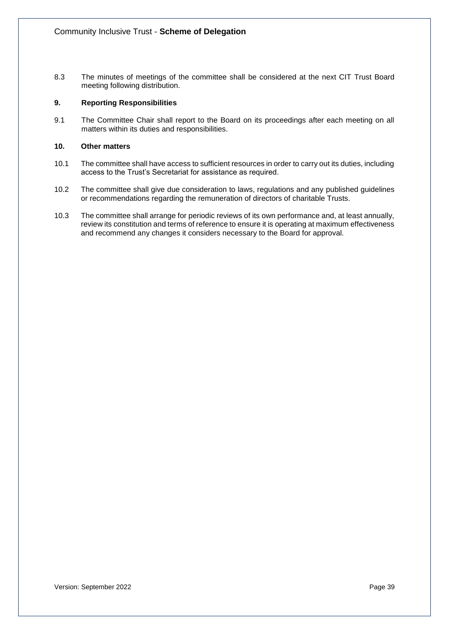8.3 The minutes of meetings of the committee shall be considered at the next CIT Trust Board meeting following distribution.

# **9. Reporting Responsibilities**

9.1 The Committee Chair shall report to the Board on its proceedings after each meeting on all matters within its duties and responsibilities.

# **10. Other matters**

- 10.1 The committee shall have access to sufficient resources in order to carry out its duties, including access to the Trust's Secretariat for assistance as required.
- 10.2 The committee shall give due consideration to laws, regulations and any published guidelines or recommendations regarding the remuneration of directors of charitable Trusts.
- 10.3 The committee shall arrange for periodic reviews of its own performance and, at least annually, review its constitution and terms of reference to ensure it is operating at maximum effectiveness and recommend any changes it considers necessary to the Board for approval.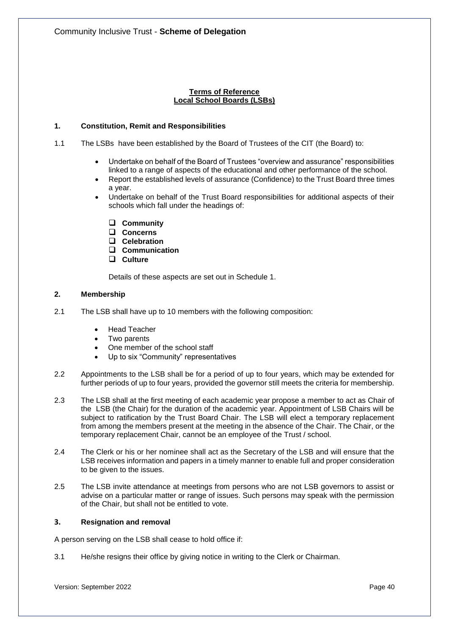# **Terms of Reference Local School Boards (LSBs)**

# **1. Constitution, Remit and Responsibilities**

- 1.1 The LSBs have been established by the Board of Trustees of the CIT (the Board) to:
	- Undertake on behalf of the Board of Trustees "overview and assurance" responsibilities linked to a range of aspects of the educational and other performance of the school.
	- Report the established levels of assurance (Confidence) to the Trust Board three times a year.
	- Undertake on behalf of the Trust Board responsibilities for additional aspects of their schools which fall under the headings of:
		- ❑ **Community**
		- ❑ **Concerns**
		- ❑ **Celebration**
		- ❑ **Communication**
		- ❑ **Culture**

Details of these aspects are set out in Schedule 1.

# **2. Membership**

- 2.1 The LSB shall have up to 10 members with the following composition:
	- Head Teacher
	- Two parents
	- One member of the school staff
	- Up to six "Community" representatives
- 2.2 Appointments to the LSB shall be for a period of up to four years, which may be extended for further periods of up to four years, provided the governor still meets the criteria for membership.
- 2.3 The LSB shall at the first meeting of each academic year propose a member to act as Chair of the LSB (the Chair) for the duration of the academic year. Appointment of LSB Chairs will be subject to ratification by the Trust Board Chair. The LSB will elect a temporary replacement from among the members present at the meeting in the absence of the Chair. The Chair, or the temporary replacement Chair, cannot be an employee of the Trust / school.
- 2.4 The Clerk or his or her nominee shall act as the Secretary of the LSB and will ensure that the LSB receives information and papers in a timely manner to enable full and proper consideration to be given to the issues.
- 2.5 The LSB invite attendance at meetings from persons who are not LSB governors to assist or advise on a particular matter or range of issues. Such persons may speak with the permission of the Chair, but shall not be entitled to vote.

# **3. Resignation and removal**

A person serving on the LSB shall cease to hold office if:

3.1 He/she resigns their office by giving notice in writing to the Clerk or Chairman.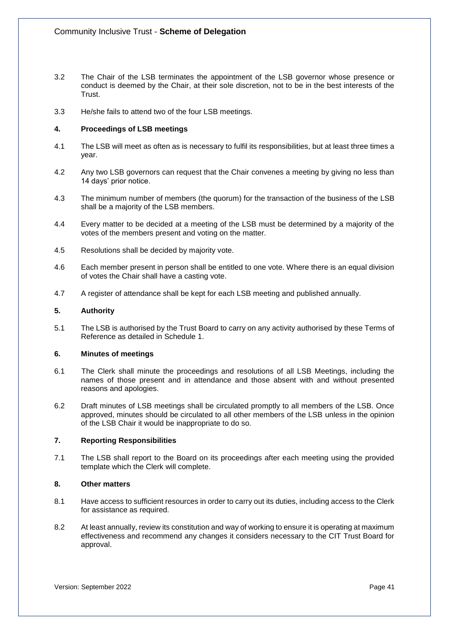- 3.2 The Chair of the LSB terminates the appointment of the LSB governor whose presence or conduct is deemed by the Chair, at their sole discretion, not to be in the best interests of the Trust.
- 3.3 He/she fails to attend two of the four LSB meetings.

# **4. Proceedings of LSB meetings**

- 4.1 The LSB will meet as often as is necessary to fulfil its responsibilities, but at least three times a year.
- 4.2 Any two LSB governors can request that the Chair convenes a meeting by giving no less than 14 days' prior notice.
- 4.3 The minimum number of members (the quorum) for the transaction of the business of the LSB shall be a majority of the LSB members.
- 4.4 Every matter to be decided at a meeting of the LSB must be determined by a majority of the votes of the members present and voting on the matter.
- 4.5 Resolutions shall be decided by majority vote.
- 4.6 Each member present in person shall be entitled to one vote. Where there is an equal division of votes the Chair shall have a casting vote.
- 4.7 A register of attendance shall be kept for each LSB meeting and published annually.

## **5. Authority**

5.1 The LSB is authorised by the Trust Board to carry on any activity authorised by these Terms of Reference as detailed in Schedule 1.

## **6. Minutes of meetings**

- 6.1 The Clerk shall minute the proceedings and resolutions of all LSB Meetings, including the names of those present and in attendance and those absent with and without presented reasons and apologies.
- 6.2 Draft minutes of LSB meetings shall be circulated promptly to all members of the LSB. Once approved, minutes should be circulated to all other members of the LSB unless in the opinion of the LSB Chair it would be inappropriate to do so.

# **7. Reporting Responsibilities**

7.1 The LSB shall report to the Board on its proceedings after each meeting using the provided template which the Clerk will complete.

## **8. Other matters**

- 8.1 Have access to sufficient resources in order to carry out its duties, including access to the Clerk for assistance as required.
- 8.2 At least annually, review its constitution and way of working to ensure it is operating at maximum effectiveness and recommend any changes it considers necessary to the CIT Trust Board for approval.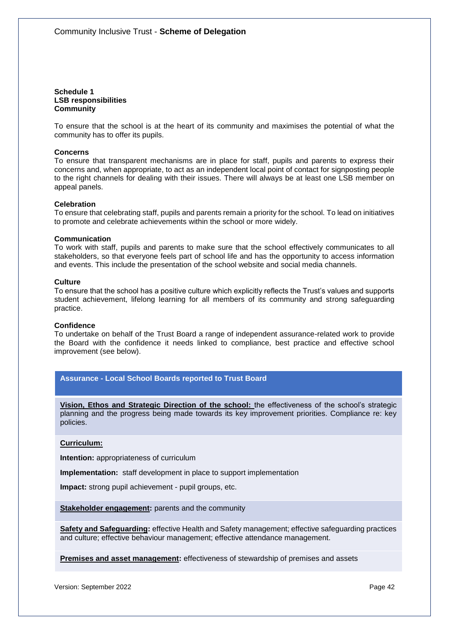**Schedule 1 LSB responsibilities Community**

To ensure that the school is at the heart of its community and maximises the potential of what the community has to offer its pupils.

#### **Concerns**

To ensure that transparent mechanisms are in place for staff, pupils and parents to express their concerns and, when appropriate, to act as an independent local point of contact for signposting people to the right channels for dealing with their issues. There will always be at least one LSB member on appeal panels.

#### **Celebration**

To ensure that celebrating staff, pupils and parents remain a priority for the school. To lead on initiatives to promote and celebrate achievements within the school or more widely.

#### **Communication**

To work with staff, pupils and parents to make sure that the school effectively communicates to all stakeholders, so that everyone feels part of school life and has the opportunity to access information and events. This include the presentation of the school website and social media channels.

#### **Culture**

To ensure that the school has a positive culture which explicitly reflects the Trust's values and supports student achievement, lifelong learning for all members of its community and strong safeguarding practice.

#### **Confidence**

To undertake on behalf of the Trust Board a range of independent assurance-related work to provide the Board with the confidence it needs linked to compliance, best practice and effective school improvement (see below).

## **Assurance - Local School Boards reported to Trust Board**

**Vision, Ethos and Strategic Direction of the school:** the effectiveness of the school's strategic planning and the progress being made towards its key improvement priorities. Compliance re: key policies.

#### **Curriculum:**

**Intention:** appropriateness of curriculum

**Implementation:** staff development in place to support implementation

**Impact:** strong pupil achievement - pupil groups, etc.

**Stakeholder engagement:** parents and the community

**Safety and Safeguarding:** effective Health and Safety management; effective safeguarding practices and culture; effective behaviour management; effective attendance management.

**Premises and asset management:** effectiveness of stewardship of premises and assets